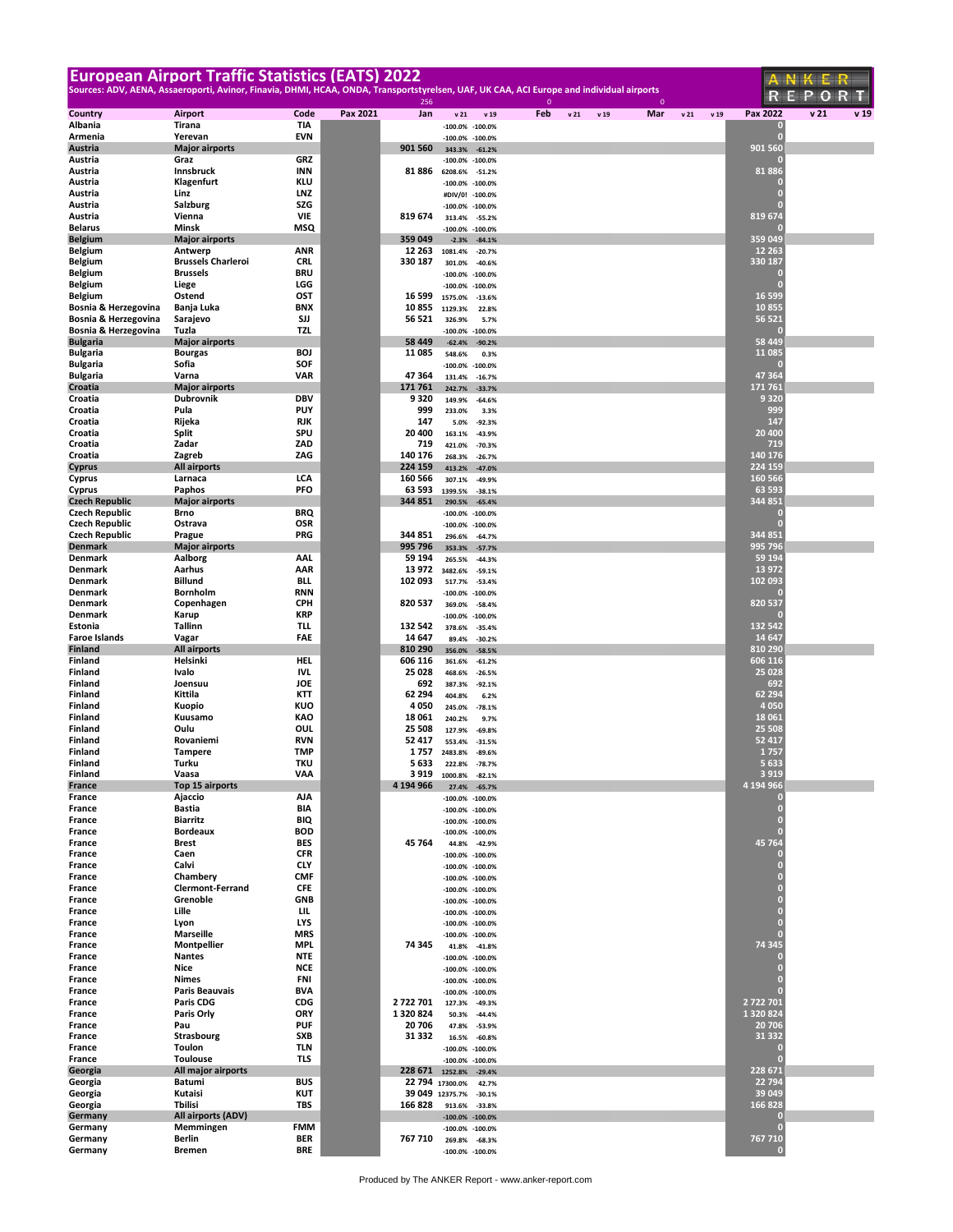|                                                |                                     | <b>European Airport Traffic Statistics (EATS) 2022</b>                                                                                   |                    |                                    |                                            |              |                         |              |             |                                | ANKER                   |
|------------------------------------------------|-------------------------------------|------------------------------------------------------------------------------------------------------------------------------------------|--------------------|------------------------------------|--------------------------------------------|--------------|-------------------------|--------------|-------------|--------------------------------|-------------------------|
|                                                |                                     | Sources: ADV, AENA, Assaeroporti, Avinor, Finavia, DHMI, HCAA, ONDA, Transportstyrelsen, UAF, UK CAA, ACI Europe and individual airports | 256                |                                    |                                            | $\mathbf{0}$ |                         | $\mathbf{0}$ |             |                                | REPO<br>R T             |
| Country                                        | Airport                             | Code<br>Pax 2021                                                                                                                         | Jan                | v <sub>21</sub>                    | v 19                                       | Feb          | v <sub>21</sub><br>v 19 | Mar          | v21<br>v 19 | Pax 2022                       | v <sub>21</sub><br>v 19 |
| Albania                                        | Tirana                              | TIA                                                                                                                                      |                    |                                    | $-100.0\% -100.0\%$                        |              |                         |              |             | 0<br>n                         |                         |
| Armenia<br>Austria                             | Yerevan<br><b>Major airports</b>    | <b>EVN</b>                                                                                                                               | 901 560            | 343.3%                             | $-100.0\% -100.0\%$<br>$-61.2%$            |              |                         |              |             | 901 560                        |                         |
| Austria                                        | Graz                                | <b>GRZ</b>                                                                                                                               |                    |                                    | $-100.0\% -100.0\%$                        |              |                         |              |             |                                |                         |
| Austria<br>Austria                             | Innsbruck<br>Klagenfurt             | INN<br><b>KLU</b>                                                                                                                        | 81886              | 6208.6%                            | $-51.2%$<br>-100.0% -100.0%                |              |                         |              |             | 81886<br>О                     |                         |
| Austria                                        | Linz                                | <b>LNZ</b>                                                                                                                               |                    |                                    | #DIV/0! -100.0%                            |              |                         |              |             | п                              |                         |
| Austria<br>Austria                             | <b>Salzburg</b><br>Vienna           | SZG<br><b>VIE</b>                                                                                                                        | 819 674            |                                    | -100.0% -100.0%                            |              |                         |              |             | п<br>819 674                   |                         |
| <b>Belarus</b>                                 | Minsk                               | MSQ                                                                                                                                      |                    | 313.4%                             | $-55.2%$<br>$-100.0\% -100.0\%$            |              |                         |              |             |                                |                         |
| <b>Belgium</b>                                 | <b>Major airports</b><br>Antwerp    |                                                                                                                                          | 359 049            | $-2.3%$                            | $-84.1%$                                   |              |                         |              |             | 359 049<br>12 2 63             |                         |
| <b>Belgium</b><br><b>Belgium</b>               | <b>Brussels Charleroi</b>           | ANR<br><b>CRL</b>                                                                                                                        | 12 263<br>330 187  | 1081.4%<br>301.0%                  | $-20.7%$<br>$-40.6%$                       |              |                         |              |             | 330 187                        |                         |
| <b>Belgium</b>                                 | <b>Brussels</b>                     | <b>BRU</b>                                                                                                                               |                    | $-100.0\%$                         | $-100.0%$                                  |              |                         |              |             | O                              |                         |
| <b>Belgium</b><br><b>Belgium</b>               | Liege<br>Ostend                     | LGG<br>OST                                                                                                                               | 16 599             | $-100.0\%$<br>1575.0%              | $-100.0%$<br>$-13.6%$                      |              |                         |              |             | п<br>16 5 9 9                  |                         |
| Bosnia & Herzegovina                           | Banja Luka                          | <b>BNX</b>                                                                                                                               | 10 855             | 1129.3%                            | 22.8%                                      |              |                         |              |             | 10855                          |                         |
| Bosnia & Herzegovina<br>Bosnia & Herzegovina   | Sarajevo<br>Tuzla                   | SJJ<br>TZL                                                                                                                               | 56 521             | 326.9%                             | 5.7%                                       |              |                         |              |             | 56 521                         |                         |
| <b>Bulgaria</b>                                | <b>Major airports</b>               |                                                                                                                                          | 58 449             | $-62.4%$                           | $-100.0\% -100.0\%$<br>$-90.2%$            |              |                         |              |             | 58 4 4 9                       |                         |
| <b>Bulgaria</b>                                | <b>Bourgas</b>                      | <b>BOJ</b>                                                                                                                               | 11085              | 548.6%                             | 0.3%                                       |              |                         |              |             | 11 085<br>О                    |                         |
| <b>Bulgaria</b><br><b>Bulgaria</b>             | Sofia<br>Varna                      | SOF<br>VAR                                                                                                                               | 47364              | $-100.0\%$<br>131.4%               | $-100.0%$<br>$-16.7%$                      |              |                         |              |             | 47 364                         |                         |
| Croatia                                        | <b>Major airports</b>               |                                                                                                                                          | 171 761            | 242.7%                             | $-33.7%$                                   |              |                         |              |             | 171 761                        |                         |
| Croatia<br>Croatia                             | <b>Dubrovnik</b><br>Pula            | <b>DBV</b><br><b>PUY</b>                                                                                                                 | 9320<br>999        | 149.9%<br>233.0%                   | $-64.6%$<br>3.3%                           |              |                         |              |             | 9 3 2 0<br>999                 |                         |
| Croatia                                        | Rijeka                              | <b>RJK</b>                                                                                                                               | 147                | 5.0%                               | $-92.3%$                                   |              |                         |              |             | 147                            |                         |
| Croatia<br>Croatia                             | Split<br>Zadar                      | SPU<br>ZAD                                                                                                                               | 20 400<br>719      | 163.1%                             | $-43.9%$                                   |              |                         |              |             | 20 400<br>719                  |                         |
| Croatia                                        | Zagreb                              | ZAG                                                                                                                                      | 140 176            | 421.0%<br>268.3%                   | $-70.3%$<br>$-26.7%$                       |              |                         |              |             | 140 176                        |                         |
| <b>Cyprus</b>                                  | <b>All airports</b>                 |                                                                                                                                          | 224 159            | 413.2%                             | $-47.0%$                                   |              |                         |              |             | 224 159                        |                         |
| Cyprus<br>Cyprus                               | Larnaca<br>Paphos                   | LCA<br>PFO                                                                                                                               | 160 566<br>63 593  | 307.1%<br>1399.5%                  | $-49.9%$<br>$-38.1%$                       |              |                         |              |             | 160 566<br>63 593              |                         |
| <b>Czech Republic</b>                          | <b>Major airports</b>               |                                                                                                                                          | 344 851            | 290.5%                             | $-65.4%$                                   |              |                         |              |             | 344 851                        |                         |
| <b>Czech Republic</b><br><b>Czech Republic</b> | Brno<br>Ostrava                     | BRQ<br>OSR                                                                                                                               |                    |                                    | $-100.0\% -100.0\%$<br>$-100.0\% -100.0\%$ |              |                         |              |             | O<br>г                         |                         |
| <b>Czech Republic</b>                          | Prague                              | PRG                                                                                                                                      | 344 851            | 296.6%                             | $-64.7%$                                   |              |                         |              |             | 344 851                        |                         |
| <b>Denmark</b><br>Denmark                      | <b>Major airports</b><br>Aalborg    | AAL                                                                                                                                      | 995 796<br>59 194  | 353.3%                             | $-57.7%$                                   |              |                         |              |             | 995 796<br>59 194              |                         |
| Denmark                                        | Aarhus                              | AAR                                                                                                                                      | 13 972             | 265.5%<br>3482.6%                  | $-44.3%$<br>$-59.1%$                       |              |                         |              |             | 13 972                         |                         |
| Denmark                                        | <b>Billund</b>                      | BLL                                                                                                                                      | 102 093            | 517.7%                             | $-53.4%$                                   |              |                         |              |             | 102 093                        |                         |
| Denmark<br>Denmark                             | Bornholm<br>Copenhagen              | <b>RNN</b><br><b>CPH</b>                                                                                                                 | 820 537            | $-100.0\%$<br>369.0%               | $-100.0%$<br>$-58.4%$                      |              |                         |              |             | 820 537                        |                         |
| Denmark                                        | Karup                               | <b>KRP</b>                                                                                                                               |                    |                                    | $-100.0\% -100.0\%$                        |              |                         |              |             |                                |                         |
| Estonia<br><b>Faroe Islands</b>                | <b>Tallinn</b><br>Vagar             | TLL.<br>FAE                                                                                                                              | 132 542<br>14 647  | 378.6%<br>89.4%                    | $-35.4%$<br>$-30.2%$                       |              |                         |              |             | 132 542<br>14 647              |                         |
| <b>Finland</b>                                 | All airports                        |                                                                                                                                          | 810 290            | 356.0%                             | $-58.5%$                                   |              |                         |              |             | 810 290                        |                         |
| Finland<br><b>Finland</b>                      | Helsinki<br>Ivalo                   | <b>HEL</b><br><b>IVL</b>                                                                                                                 | 606 116<br>25 0 28 | 361.6%                             | $-61.2%$                                   |              |                         |              |             | 606 116<br>25 0 28             |                         |
| Finland                                        | Joensuu                             | JOE                                                                                                                                      | 692                | 468.6%<br>387.3%                   | $-26.5%$<br>$-92.1%$                       |              |                         |              |             | 692                            |                         |
| Finland                                        | Kittila                             | KTT                                                                                                                                      | 62 294             | 404.8%                             | 6.2%                                       |              |                         |              |             | 62 294                         |                         |
| Finland<br>Finland                             | Kuopio<br>Kuusamo                   | KUO<br>KAO                                                                                                                               | 4050<br>18 061     | 245.0%<br>240.2%                   | $-78.1%$<br>9.7%                           |              |                         |              |             | 4 0 5 0<br>18 06 1             |                         |
| Finland                                        | Oulu                                | OUL                                                                                                                                      | 25 508             | 127.9%                             | $-69.8%$                                   |              |                         |              |             | 25 508                         |                         |
| Finland<br>Finland                             | Rovaniemi<br><b>Tampere</b>         | <b>RVN</b><br><b>TMP</b>                                                                                                                 | 52417<br>1 7 5 7   | 553.4%<br>2483.8%                  | $-31.5%$<br>$-89.6%$                       |              |                         |              |             | 52 417<br>1757                 |                         |
| Finland                                        | Turku                               | <b>TKU</b>                                                                                                                               | 5633               |                                    | 222.8% -78.7%                              |              |                         |              |             | 5 6 3 3                        |                         |
| Finland                                        | Vaasa                               | VAA                                                                                                                                      |                    | 3 919 1000.8% -82.1%               |                                            |              |                         |              |             | 3 9 1 9<br>4 194 966           |                         |
| France<br>France                               | Top 15 airports<br>Ajaccio          | AJA                                                                                                                                      | 4 194 966          | 27.4%                              | $-65.7%$<br>$-100.0\% -100.0\%$            |              |                         |              |             | 0                              |                         |
| France                                         | Bastia                              | BIA                                                                                                                                      |                    |                                    | $-100.0\% -100.0\%$                        |              |                         |              |             | $\overline{0}$                 |                         |
| France<br>France                               | <b>Biarritz</b><br><b>Bordeaux</b>  | BIQ<br><b>BOD</b>                                                                                                                        |                    |                                    | $-100.0\% -100.0\%$<br>$-100.0\% -100.0\%$ |              |                         |              |             | $\bf{0}$<br>$\overline{0}$     |                         |
| France                                         | <b>Brest</b>                        | <b>BES</b>                                                                                                                               | 45 764             |                                    | 44.8% -42.9%                               |              |                         |              |             | 45 764                         |                         |
| France<br>France                               | Caen<br>Calvi                       | <b>CFR</b><br><b>CLY</b>                                                                                                                 |                    |                                    | $-100.0\% -100.0\%$<br>$-100.0\% -100.0\%$ |              |                         |              |             | 0<br>$\overline{0}$            |                         |
| France                                         | Chambery                            | <b>CMF</b>                                                                                                                               |                    |                                    | $-100.0\% -100.0\%$                        |              |                         |              |             | $\overline{0}$                 |                         |
| France<br>France                               | <b>Clermont-Ferrand</b><br>Grenoble | CFE<br><b>GNB</b>                                                                                                                        |                    |                                    | $-100.0\% -100.0\%$<br>$-100.0\% -100.0\%$ |              |                         |              |             | $\overline{0}$                 |                         |
| France                                         | Lille                               | LIL.                                                                                                                                     |                    |                                    | $-100.0\% -100.0\%$                        |              |                         |              |             | $\frac{1}{\alpha}$             |                         |
| France                                         | Lyon                                | LYS                                                                                                                                      |                    |                                    | $-100.0\% -100.0\%$                        |              |                         |              |             | $\mathbf{0}$<br>$\overline{0}$ |                         |
| France<br>France                               | <b>Marseille</b><br>Montpellier     | <b>MRS</b><br><b>MPL</b>                                                                                                                 | 74 345             |                                    | $-100.0\% -100.0\%$<br>41.8% -41.8%        |              |                         |              |             | 74 345                         |                         |
| France                                         | <b>Nantes</b>                       | <b>NTE</b>                                                                                                                               |                    |                                    | $-100.0\% -100.0\%$                        |              |                         |              |             | 0                              |                         |
| France<br>France                               | Nice<br><b>Nimes</b>                | <b>NCE</b><br><b>FNI</b>                                                                                                                 |                    |                                    | $-100.0\% -100.0\%$<br>$-100.0\% -100.0\%$ |              |                         |              |             | $\overline{0}$<br>п            |                         |
| France                                         | <b>Paris Beauvais</b>               | <b>BVA</b>                                                                                                                               |                    |                                    | $-100.0\% -100.0\%$                        |              |                         |              |             | п                              |                         |
| France<br>France                               | <b>Paris CDG</b><br>Paris Orly      | CDG<br>ORY                                                                                                                               | 2722701<br>1320824 | 127.3%<br>50.3%                    | $-49.3%$<br>$-44.4%$                       |              |                         |              |             | 2 722 701<br>1 320 824         |                         |
| France                                         | Pau                                 | <b>PUF</b>                                                                                                                               | 20706              | 47.8%                              | $-53.9%$                                   |              |                         |              |             | 20 70 6                        |                         |
| France                                         | Strasbourg                          | <b>SXB</b><br><b>TLN</b>                                                                                                                 | 31 332             | 16.5%                              | $-60.8%$                                   |              |                         |              |             | 31 332                         |                         |
| France<br>France                               | Toulon<br><b>Toulouse</b>           | TLS                                                                                                                                      |                    |                                    | $-100.0\% -100.0\%$<br>$-100.0\% -100.0\%$ |              |                         |              |             | 0<br>$\overline{0}$            |                         |
| Georgia                                        | All major airports                  |                                                                                                                                          | 228 671            | 1252.8%                            | $-29.4%$                                   |              |                         |              |             | 228 671                        |                         |
| Georgia<br>Georgia                             | Batumi<br>Kutaisi                   | <b>BUS</b><br><b>KUT</b>                                                                                                                 |                    | 22 794 17300.0%<br>39 049 12375.7% | 42.7%<br>$-30.1%$                          |              |                         |              |             | 22 7 94<br>39 049              |                         |
| Georgia                                        | Tbilisi                             | TBS                                                                                                                                      | 166828             | 913.6%                             | $-33.8%$                                   |              |                         |              |             | 166 828                        |                         |
| Germany<br>Germany                             | All airports (ADV)<br>Memmingen     | <b>FMM</b>                                                                                                                               |                    |                                    | $-100.0\% -100.0\%$<br>$-100.0\% -100.0\%$ |              |                         |              |             | n<br>$\overline{0}$            |                         |
| Germany                                        | Berlin                              | <b>BER</b>                                                                                                                               | 767 710            | 269.8%                             | $-68.3%$                                   |              |                         |              |             | 767 710                        |                         |
| Germany                                        | <b>Bremen</b>                       | <b>BRE</b>                                                                                                                               |                    |                                    | $-100.0\%$ $-100.0\%$                      |              |                         |              |             | 0                              |                         |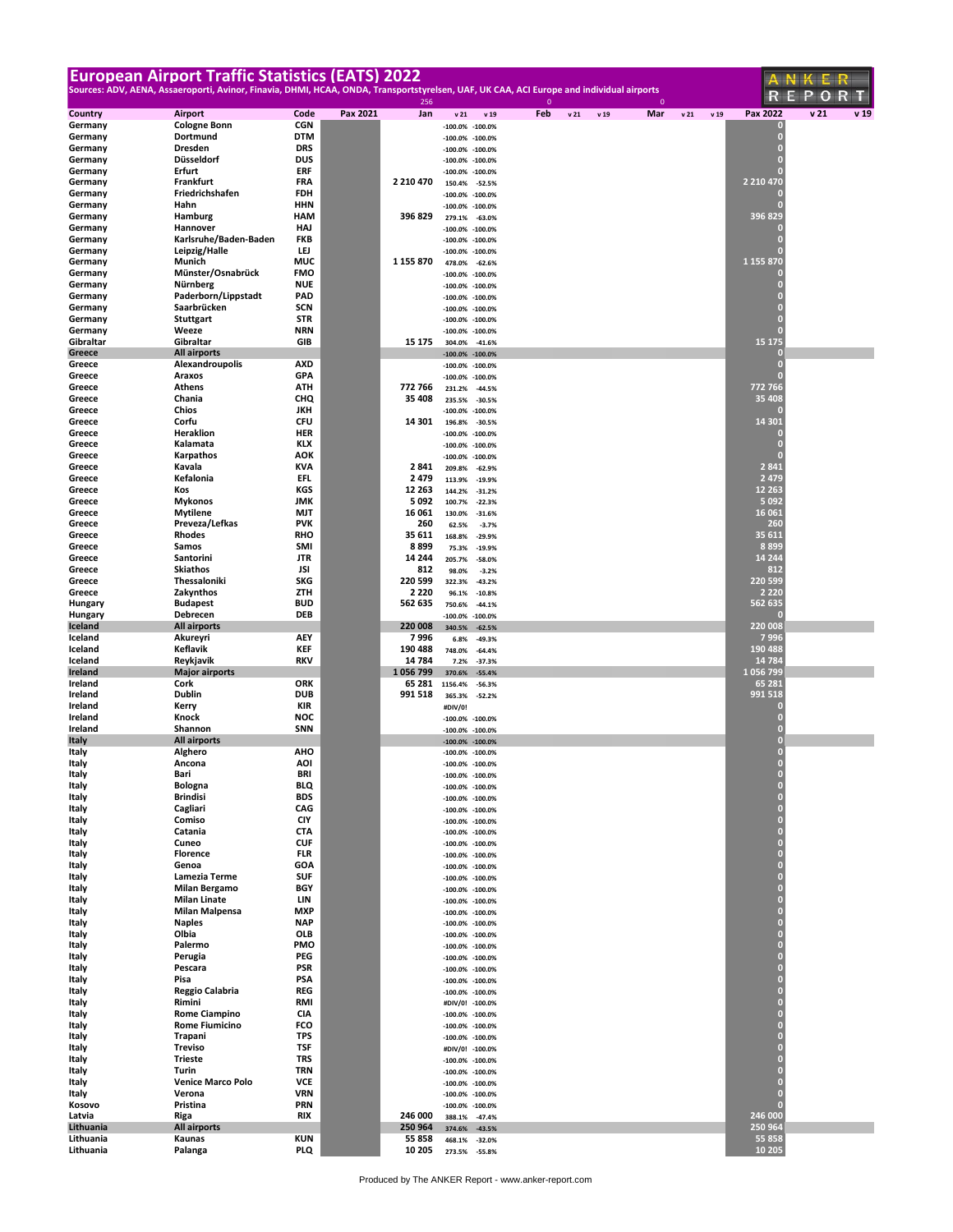| Sources: ADV, AENA, Assaeroporti, Avinor, Finavia, DHMI, HCAA, ONDA, Transportstyrelsen, UAF, UK CAA, ACI Europe and individual airports<br>EPORT<br>256<br>$\mathbf{0}$<br>$\mathbf 0$<br>v <sub>21</sub><br>Pax 2022<br>v 19<br>Code<br>Pax 2021<br>Jan<br>Feb<br>Mar<br>v21<br>v 19<br>Country<br>Airport<br>v <sub>21</sub><br>v <sub>21</sub><br>v 19<br>v 19<br><b>CGN</b><br><b>Cologne Bonn</b><br>Germany<br>o<br>$-100.0\% -100.0\%$<br>$\bf{0}$<br>Dortmund<br>DTM<br>Germany<br>$-100.0\% -100.0\%$<br><b>Dresden</b><br><b>DRS</b><br>$\overline{0}$<br>Germany<br>$-100.0\% -100.0\%$<br><b>DUS</b><br>Germany<br>Düsseldorf<br>$-100.0\% -100.0\%$<br>Erfurt<br>ERF<br>Germany<br>$-100.0\%$<br>$-100.0%$<br>Frankfurt<br><b>FRA</b><br>2 2 10 4 70<br>2 2 10 4 70<br>Germany<br>150.4%<br>$-52.5%$<br>Friedrichshafen<br><b>FDH</b><br>Germany<br>$-100.0\%$<br>$-100.0%$<br>Hahn<br><b>HHN</b><br>Germany<br>п<br>$-100.0\%$<br>$-100.0%$<br>396 829<br>396 829<br>Germany<br>Hamburg<br>HAM<br>279.1%<br>$-63.0%$<br>Germany<br>Hannover<br>HAJ<br>$-100.0\%$<br>$-100.0%$<br>Karlsruhe/Baden-Baden<br><b>FKB</b><br>Germany<br>п<br>$-100.0\%$<br>$-100.0%$<br>Germany<br>Leipzig/Halle<br>LEJ<br>$-100.0\%$<br>$-100.0%$<br>1 155 870<br>Munich<br>Germany<br>MUC<br>1 155 870<br>478.0%<br>$-62.6%$<br>Münster/Osnabrück<br><b>FMO</b><br>Germany<br>O<br>$-100.0\%$<br>$-100.0%$<br><b>NUE</b><br>г<br>Nürnberg<br>Germany<br>$-100.0\%$<br>$-100.0%$<br>Paderborn/Lippstadt<br>PAD<br>Germany<br>$-100.0\% -100.0\%$<br>Saarbrücken<br>SCN<br>Germany<br>п<br>$-100.0\%$<br>$-100.0%$<br><b>STR</b><br>Germany<br><b>Stuttgart</b><br>Г<br>$-100.0\% -100.0\%$<br><b>NRN</b><br>г<br>Germany<br>Weeze<br>$-100.0\% -100.0\%$<br>15 175<br>GIB<br>Gibraltar<br>Gibraltar<br>15 175<br>304.0%<br>$-41.6%$<br>Greece<br>All airports<br>$-100.0\% -100.0\%$<br><b>AXD</b><br>$\overline{0}$<br>Alexandroupolis<br>Greece<br>$-100.0%$<br>$-100.0%$<br><b>GPA</b><br>Araxos<br>п<br>Greece<br>$-100.0%$<br>$-100.0%$<br>772 766<br>ATH<br><b>Athens</b><br>772 766<br>Greece<br>231.2%<br>$-44.5%$<br>Chania<br>CHQ<br>35 408<br>35 408<br>Greece<br>235.5%<br>$-30.5%$<br>Chios<br>JKH<br>Greece<br>$-100.0\%$<br>$-100.0%$<br>Corfu<br><b>CFU</b><br>14 301<br>Greece<br>14 301<br>196.8%<br>$-30.5%$<br>Heraklion<br><b>HER</b><br>Greece<br>о<br>$-100.0%$<br>$-100.0%$<br>KLX<br>г<br>Kalamata<br>Greece<br>$-100.0\%$<br>$-100.0%$<br>Greece<br>Karpathos<br>AOK<br>п<br>$-100.0\%$<br>$-100.0%$<br>2841<br>Kavala<br><b>KVA</b><br>2841<br>Greece<br>209.8%<br>$-62.9%$<br>Kefalonia<br>EFL<br>2 4 7 9<br>2479<br>Greece<br>113.9%<br>$-19.9%$<br>KGS<br>12 263<br>12 26 3<br>Kos<br>Greece<br>144.2%<br>$-31.2%$<br><b>JMK</b><br>5092<br>5 0 9 2<br><b>Mykonos</b><br>Greece<br>100.7%<br>$-22.3%$<br>16 06 1<br>Greece<br><b>Mytilene</b><br>MJT<br>16 061<br>130.0%<br>$-31.6%$<br><b>PVK</b><br>260<br>Greece<br>Preveza/Lefkas<br>260<br>62.5%<br>$-3.7%$<br>35 611<br>Rhodes<br><b>RHO</b><br>35 611<br>Greece<br>168.8%<br>$-29.9%$<br>8 8 9 9<br>Samos<br>SMI<br>8899<br>Greece<br>75.3%<br>$-19.9%$<br>14 244<br><b>JTR</b><br>Santorini<br>14 244<br>Greece<br>205.7%<br>$-58.0%$<br>812<br><b>Skiathos</b><br>JSI<br>812<br>Greece<br>98.0%<br>$-3.2%$<br>SKG<br>220 599<br>220 599<br>Thessaloniki<br>Greece<br>322.3%<br>$-43.2%$<br>Zakynthos<br>ZTH<br>2 2 2 0<br>2 2 2 0<br>Greece<br>96.1%<br>$-10.8%$<br><b>BUD</b><br>562 635<br><b>Budapest</b><br>562 635<br>Hungary<br>750.6%<br>$-44.1%$<br>Debrecen<br><b>DEB</b><br>Hungary<br>$-100.0%$<br>$-100.0%$<br>220 008<br>Iceland<br>All airports<br>220 008<br>340.5%<br>$-62.5%$<br>AEY<br>7996<br>Iceland<br>Akureyri<br>7 996<br>6.8%<br>$-49.3%$<br>Keflavik<br><b>KEF</b><br>190 488<br>Iceland<br>190 488<br>748.0%<br>$-64.4%$<br><b>RKV</b><br>14 7 84<br>Reykjavik<br>14 784<br>Iceland<br>7.2%<br>$-37.3%$<br>1 056 799<br>1056799<br><b>Ireland</b><br><b>Major airports</b><br>370.6%<br>$-55.4%$<br>ORK<br>65 281<br>Ireland<br>Cork<br>65 281<br>1156.4%<br>$-56.3%$<br>Dublin<br><b>DUB</b><br>991 518<br>991 518<br>Ireland<br>365.3%<br>$-52.2%$<br>KIR<br>Ireland<br>Kerry<br>#DIV/0!<br><b>NOC</b><br>Ireland<br>Knock<br>Г<br>$-100.0\%$<br>$-100.0%$<br>SNN<br>Ireland<br>Shannon<br>Г<br>$-100.0\% -100.0\%$<br>$\overline{0}$<br><b>Italy</b><br>All airports<br>$-100.0\% -100.0\%$<br><b>AHO</b><br>$\overline{0}$<br>Italy<br>Alghero<br>$-100.0\% -100.0\%$<br>AOI<br>Ancona<br>Italy<br>$-100.0\% -100.0\%$<br>Bari<br>BRI<br>$\bf{0}$<br>Italy<br>$-100.0\% -100.0\%$<br>$\mathbf{0}$<br><b>Bologna</b><br>BLQ<br>Italy<br>$-100.0\% -100.0\%$<br>$\pmb{\mathsf{0}}$<br><b>Brindisi</b><br><b>BDS</b><br>Italy<br>$-100.0\% -100.0\%$<br>$\mathbf{0}$<br>Cagliari<br>CAG<br>Italy<br>$-100.0\% -100.0\%$<br>$\bf{0}$<br>CIY<br>Comiso<br>Italy<br>$-100.0\% -100.0\%$<br>$\bf{0}$<br>Italy<br>Catania<br>CTA<br>$-100.0\% -100.0\%$<br>$\bf{0}$<br><b>CUF</b><br>Cuneo<br>Italy<br>$-100.0\% -100.0\%$<br>$\bf{0}$<br>FLR<br>Italy<br><b>Florence</b><br>$-100.0\% -100.0\%$<br>$\bf{0}$<br>Genoa<br><b>GOA</b><br>Italy<br>$-100.0\% -100.0\%$<br>$\bf{0}$<br><b>SUF</b><br>Lamezia Terme<br>Italy<br>$-100.0\% -100.0\%$<br>$\mathbf{0}$<br><b>Milan Bergamo</b><br>BGY<br>Italy<br>$-100.0\% -100.0\%$<br>$\mathbf{0}$<br>LIN<br>Italy<br><b>Milan Linate</b><br>$-100.0\% -100.0\%$<br>$\mathbf{0}$<br><b>Milan Malpensa</b><br><b>MXP</b><br>Italy<br>$-100.0\% -100.0\%$<br>$\bf{0}$<br><b>Naples</b><br><b>NAP</b><br>Italy<br>$-100.0\% -100.0\%$<br>$\bf{0}$<br>Olbia<br>OLB<br>Italy<br>$-100.0\% -100.0\%$<br>$\bf{0}$<br>PMO<br>Palermo<br>Italy<br>$-100.0\% -100.0\%$<br>$\bf{0}$<br>PEG<br>Italy<br>Perugia<br>$-100.0\% -100.0\%$<br>$\bf{0}$<br>Pescara<br><b>PSR</b><br>Italy<br>$-100.0\% -100.0\%$<br>$\bf{0}$<br>Pisa<br>PSA<br>Italy<br>$-100.0\% -100.0\%$<br>$\mathbf{0}$<br><b>Reggio Calabria</b><br>REG<br>Italy<br>$-100.0\% -100.0\%$<br>$\mathbf{0}$<br>RMI<br>Italy<br>Rimini<br>#DIV/0! -100.0%<br>$\overline{0}$<br>Italy<br><b>Rome Ciampino</b><br>CIA<br>$-100.0\% -100.0\%$<br>$\bf{0}$<br><b>Rome Fiumicino</b><br>FCO<br>Italy<br>$-100.0\% -100.0\%$<br>$\bf{0}$<br>TPS<br>Trapani<br>Italy<br>$-100.0\% -100.0\%$<br>$\bf{0}$<br><b>Treviso</b><br>TSF<br>Italy<br>#DIV/0! -100.0%<br>$\bf{0}$<br><b>Trieste</b><br>TRS<br>Italy<br>$-100.0\% -100.0\%$<br>$\bf{0}$<br>Turin<br>TRN<br>Italy<br>$-100.0\% -100.0\%$<br>$\bf{0}$<br><b>Venice Marco Polo</b><br><b>VCE</b><br>Italy<br>$-100.0\% -100.0\%$<br>$\overline{0}$<br>Verona<br><b>VRN</b><br>Italy<br>$-100.0\% -100.0\%$<br><b>PRN</b><br>$\overline{0}$<br>Kosovo<br>Pristina<br>$-100.0\% -100.0\%$<br>246 000<br>Latvia<br>Riga<br>RIX<br>246 000<br>388.1% -47.4%<br>250 964<br>Lithuania<br>All airports<br>250 964<br>374.6%<br>$-43.5%$<br>55 858<br><b>KUN</b><br>Lithuania<br>Kaunas<br>55858<br>468.1%<br>$-32.0%$<br>Lithuania<br><b>PLQ</b><br>10 205<br>10 20 5<br>Palanga<br>273.5% -55.8% | <b>European Airport Traffic Statistics (EATS) 2022</b> |  |  |  |  |  | ANKER |
|------------------------------------------------------------------------------------------------------------------------------------------------------------------------------------------------------------------------------------------------------------------------------------------------------------------------------------------------------------------------------------------------------------------------------------------------------------------------------------------------------------------------------------------------------------------------------------------------------------------------------------------------------------------------------------------------------------------------------------------------------------------------------------------------------------------------------------------------------------------------------------------------------------------------------------------------------------------------------------------------------------------------------------------------------------------------------------------------------------------------------------------------------------------------------------------------------------------------------------------------------------------------------------------------------------------------------------------------------------------------------------------------------------------------------------------------------------------------------------------------------------------------------------------------------------------------------------------------------------------------------------------------------------------------------------------------------------------------------------------------------------------------------------------------------------------------------------------------------------------------------------------------------------------------------------------------------------------------------------------------------------------------------------------------------------------------------------------------------------------------------------------------------------------------------------------------------------------------------------------------------------------------------------------------------------------------------------------------------------------------------------------------------------------------------------------------------------------------------------------------------------------------------------------------------------------------------------------------------------------------------------------------------------------------------------------------------------------------------------------------------------------------------------------------------------------------------------------------------------------------------------------------------------------------------------------------------------------------------------------------------------------------------------------------------------------------------------------------------------------------------------------------------------------------------------------------------------------------------------------------------------------------------------------------------------------------------------------------------------------------------------------------------------------------------------------------------------------------------------------------------------------------------------------------------------------------------------------------------------------------------------------------------------------------------------------------------------------------------------------------------------------------------------------------------------------------------------------------------------------------------------------------------------------------------------------------------------------------------------------------------------------------------------------------------------------------------------------------------------------------------------------------------------------------------------------------------------------------------------------------------------------------------------------------------------------------------------------------------------------------------------------------------------------------------------------------------------------------------------------------------------------------------------------------------------------------------------------------------------------------------------------------------------------------------------------------------------------------------------------------------------------------------------------------------------------------------------------------------------------------------------------------------------------------------------------------------------------------------------------------------------------------------------------------------------------------------------------------------------------------------------------------------------------------------------------------------------------------------------------------------------------------------------------------------------------------------------------------------------------------------------------------------------------------------------------------------------------------------------------------------------------------------------------------------------------------------------------------------------------------------------------------------------------------------------------------------------------------------------------------------------------------------------------------------------------------------------------------------------------------------------------------------------------------------------------------------------------------------------------------------------------------------------------------------------------------------------------------------------------------------------------------------------------------------------------------------------------------------------------------------------------------------------------------------------------------------------------------------------------------------------------------------------------------------------------------------------------------------------------------------------------------------------------------------------------------------------------------------------------------------------------------------------------------------------------------------------------------------------------------------------------------------------------------------------------------------------------------------------------------------------------------------------------------------------------------------------------------------------------------------------------------------------------|--------------------------------------------------------|--|--|--|--|--|-------|
|                                                                                                                                                                                                                                                                                                                                                                                                                                                                                                                                                                                                                                                                                                                                                                                                                                                                                                                                                                                                                                                                                                                                                                                                                                                                                                                                                                                                                                                                                                                                                                                                                                                                                                                                                                                                                                                                                                                                                                                                                                                                                                                                                                                                                                                                                                                                                                                                                                                                                                                                                                                                                                                                                                                                                                                                                                                                                                                                                                                                                                                                                                                                                                                                                                                                                                                                                                                                                                                                                                                                                                                                                                                                                                                                                                                                                                                                                                                                                                                                                                                                                                                                                                                                                                                                                                                                                                                                                                                                                                                                                                                                                                                                                                                                                                                                                                                                                                                                                                                                                                                                                                                                                                                                                                                                                                                                                                                                                                                                                                                                                                                                                                                                                                                                                                                                                                                                                                                                                                                                                                                                                                                                                                                                                                                                                                                                                                                                                                                                                                                                                                                                                                                                                                                                                                                                                                                                                                                                                                                                                                          |                                                        |  |  |  |  |  |       |
|                                                                                                                                                                                                                                                                                                                                                                                                                                                                                                                                                                                                                                                                                                                                                                                                                                                                                                                                                                                                                                                                                                                                                                                                                                                                                                                                                                                                                                                                                                                                                                                                                                                                                                                                                                                                                                                                                                                                                                                                                                                                                                                                                                                                                                                                                                                                                                                                                                                                                                                                                                                                                                                                                                                                                                                                                                                                                                                                                                                                                                                                                                                                                                                                                                                                                                                                                                                                                                                                                                                                                                                                                                                                                                                                                                                                                                                                                                                                                                                                                                                                                                                                                                                                                                                                                                                                                                                                                                                                                                                                                                                                                                                                                                                                                                                                                                                                                                                                                                                                                                                                                                                                                                                                                                                                                                                                                                                                                                                                                                                                                                                                                                                                                                                                                                                                                                                                                                                                                                                                                                                                                                                                                                                                                                                                                                                                                                                                                                                                                                                                                                                                                                                                                                                                                                                                                                                                                                                                                                                                                                          |                                                        |  |  |  |  |  |       |
|                                                                                                                                                                                                                                                                                                                                                                                                                                                                                                                                                                                                                                                                                                                                                                                                                                                                                                                                                                                                                                                                                                                                                                                                                                                                                                                                                                                                                                                                                                                                                                                                                                                                                                                                                                                                                                                                                                                                                                                                                                                                                                                                                                                                                                                                                                                                                                                                                                                                                                                                                                                                                                                                                                                                                                                                                                                                                                                                                                                                                                                                                                                                                                                                                                                                                                                                                                                                                                                                                                                                                                                                                                                                                                                                                                                                                                                                                                                                                                                                                                                                                                                                                                                                                                                                                                                                                                                                                                                                                                                                                                                                                                                                                                                                                                                                                                                                                                                                                                                                                                                                                                                                                                                                                                                                                                                                                                                                                                                                                                                                                                                                                                                                                                                                                                                                                                                                                                                                                                                                                                                                                                                                                                                                                                                                                                                                                                                                                                                                                                                                                                                                                                                                                                                                                                                                                                                                                                                                                                                                                                          |                                                        |  |  |  |  |  |       |
|                                                                                                                                                                                                                                                                                                                                                                                                                                                                                                                                                                                                                                                                                                                                                                                                                                                                                                                                                                                                                                                                                                                                                                                                                                                                                                                                                                                                                                                                                                                                                                                                                                                                                                                                                                                                                                                                                                                                                                                                                                                                                                                                                                                                                                                                                                                                                                                                                                                                                                                                                                                                                                                                                                                                                                                                                                                                                                                                                                                                                                                                                                                                                                                                                                                                                                                                                                                                                                                                                                                                                                                                                                                                                                                                                                                                                                                                                                                                                                                                                                                                                                                                                                                                                                                                                                                                                                                                                                                                                                                                                                                                                                                                                                                                                                                                                                                                                                                                                                                                                                                                                                                                                                                                                                                                                                                                                                                                                                                                                                                                                                                                                                                                                                                                                                                                                                                                                                                                                                                                                                                                                                                                                                                                                                                                                                                                                                                                                                                                                                                                                                                                                                                                                                                                                                                                                                                                                                                                                                                                                                          |                                                        |  |  |  |  |  |       |
|                                                                                                                                                                                                                                                                                                                                                                                                                                                                                                                                                                                                                                                                                                                                                                                                                                                                                                                                                                                                                                                                                                                                                                                                                                                                                                                                                                                                                                                                                                                                                                                                                                                                                                                                                                                                                                                                                                                                                                                                                                                                                                                                                                                                                                                                                                                                                                                                                                                                                                                                                                                                                                                                                                                                                                                                                                                                                                                                                                                                                                                                                                                                                                                                                                                                                                                                                                                                                                                                                                                                                                                                                                                                                                                                                                                                                                                                                                                                                                                                                                                                                                                                                                                                                                                                                                                                                                                                                                                                                                                                                                                                                                                                                                                                                                                                                                                                                                                                                                                                                                                                                                                                                                                                                                                                                                                                                                                                                                                                                                                                                                                                                                                                                                                                                                                                                                                                                                                                                                                                                                                                                                                                                                                                                                                                                                                                                                                                                                                                                                                                                                                                                                                                                                                                                                                                                                                                                                                                                                                                                                          |                                                        |  |  |  |  |  |       |
|                                                                                                                                                                                                                                                                                                                                                                                                                                                                                                                                                                                                                                                                                                                                                                                                                                                                                                                                                                                                                                                                                                                                                                                                                                                                                                                                                                                                                                                                                                                                                                                                                                                                                                                                                                                                                                                                                                                                                                                                                                                                                                                                                                                                                                                                                                                                                                                                                                                                                                                                                                                                                                                                                                                                                                                                                                                                                                                                                                                                                                                                                                                                                                                                                                                                                                                                                                                                                                                                                                                                                                                                                                                                                                                                                                                                                                                                                                                                                                                                                                                                                                                                                                                                                                                                                                                                                                                                                                                                                                                                                                                                                                                                                                                                                                                                                                                                                                                                                                                                                                                                                                                                                                                                                                                                                                                                                                                                                                                                                                                                                                                                                                                                                                                                                                                                                                                                                                                                                                                                                                                                                                                                                                                                                                                                                                                                                                                                                                                                                                                                                                                                                                                                                                                                                                                                                                                                                                                                                                                                                                          |                                                        |  |  |  |  |  |       |
|                                                                                                                                                                                                                                                                                                                                                                                                                                                                                                                                                                                                                                                                                                                                                                                                                                                                                                                                                                                                                                                                                                                                                                                                                                                                                                                                                                                                                                                                                                                                                                                                                                                                                                                                                                                                                                                                                                                                                                                                                                                                                                                                                                                                                                                                                                                                                                                                                                                                                                                                                                                                                                                                                                                                                                                                                                                                                                                                                                                                                                                                                                                                                                                                                                                                                                                                                                                                                                                                                                                                                                                                                                                                                                                                                                                                                                                                                                                                                                                                                                                                                                                                                                                                                                                                                                                                                                                                                                                                                                                                                                                                                                                                                                                                                                                                                                                                                                                                                                                                                                                                                                                                                                                                                                                                                                                                                                                                                                                                                                                                                                                                                                                                                                                                                                                                                                                                                                                                                                                                                                                                                                                                                                                                                                                                                                                                                                                                                                                                                                                                                                                                                                                                                                                                                                                                                                                                                                                                                                                                                                          |                                                        |  |  |  |  |  |       |
|                                                                                                                                                                                                                                                                                                                                                                                                                                                                                                                                                                                                                                                                                                                                                                                                                                                                                                                                                                                                                                                                                                                                                                                                                                                                                                                                                                                                                                                                                                                                                                                                                                                                                                                                                                                                                                                                                                                                                                                                                                                                                                                                                                                                                                                                                                                                                                                                                                                                                                                                                                                                                                                                                                                                                                                                                                                                                                                                                                                                                                                                                                                                                                                                                                                                                                                                                                                                                                                                                                                                                                                                                                                                                                                                                                                                                                                                                                                                                                                                                                                                                                                                                                                                                                                                                                                                                                                                                                                                                                                                                                                                                                                                                                                                                                                                                                                                                                                                                                                                                                                                                                                                                                                                                                                                                                                                                                                                                                                                                                                                                                                                                                                                                                                                                                                                                                                                                                                                                                                                                                                                                                                                                                                                                                                                                                                                                                                                                                                                                                                                                                                                                                                                                                                                                                                                                                                                                                                                                                                                                                          |                                                        |  |  |  |  |  |       |
|                                                                                                                                                                                                                                                                                                                                                                                                                                                                                                                                                                                                                                                                                                                                                                                                                                                                                                                                                                                                                                                                                                                                                                                                                                                                                                                                                                                                                                                                                                                                                                                                                                                                                                                                                                                                                                                                                                                                                                                                                                                                                                                                                                                                                                                                                                                                                                                                                                                                                                                                                                                                                                                                                                                                                                                                                                                                                                                                                                                                                                                                                                                                                                                                                                                                                                                                                                                                                                                                                                                                                                                                                                                                                                                                                                                                                                                                                                                                                                                                                                                                                                                                                                                                                                                                                                                                                                                                                                                                                                                                                                                                                                                                                                                                                                                                                                                                                                                                                                                                                                                                                                                                                                                                                                                                                                                                                                                                                                                                                                                                                                                                                                                                                                                                                                                                                                                                                                                                                                                                                                                                                                                                                                                                                                                                                                                                                                                                                                                                                                                                                                                                                                                                                                                                                                                                                                                                                                                                                                                                                                          |                                                        |  |  |  |  |  |       |
|                                                                                                                                                                                                                                                                                                                                                                                                                                                                                                                                                                                                                                                                                                                                                                                                                                                                                                                                                                                                                                                                                                                                                                                                                                                                                                                                                                                                                                                                                                                                                                                                                                                                                                                                                                                                                                                                                                                                                                                                                                                                                                                                                                                                                                                                                                                                                                                                                                                                                                                                                                                                                                                                                                                                                                                                                                                                                                                                                                                                                                                                                                                                                                                                                                                                                                                                                                                                                                                                                                                                                                                                                                                                                                                                                                                                                                                                                                                                                                                                                                                                                                                                                                                                                                                                                                                                                                                                                                                                                                                                                                                                                                                                                                                                                                                                                                                                                                                                                                                                                                                                                                                                                                                                                                                                                                                                                                                                                                                                                                                                                                                                                                                                                                                                                                                                                                                                                                                                                                                                                                                                                                                                                                                                                                                                                                                                                                                                                                                                                                                                                                                                                                                                                                                                                                                                                                                                                                                                                                                                                                          |                                                        |  |  |  |  |  |       |
|                                                                                                                                                                                                                                                                                                                                                                                                                                                                                                                                                                                                                                                                                                                                                                                                                                                                                                                                                                                                                                                                                                                                                                                                                                                                                                                                                                                                                                                                                                                                                                                                                                                                                                                                                                                                                                                                                                                                                                                                                                                                                                                                                                                                                                                                                                                                                                                                                                                                                                                                                                                                                                                                                                                                                                                                                                                                                                                                                                                                                                                                                                                                                                                                                                                                                                                                                                                                                                                                                                                                                                                                                                                                                                                                                                                                                                                                                                                                                                                                                                                                                                                                                                                                                                                                                                                                                                                                                                                                                                                                                                                                                                                                                                                                                                                                                                                                                                                                                                                                                                                                                                                                                                                                                                                                                                                                                                                                                                                                                                                                                                                                                                                                                                                                                                                                                                                                                                                                                                                                                                                                                                                                                                                                                                                                                                                                                                                                                                                                                                                                                                                                                                                                                                                                                                                                                                                                                                                                                                                                                                          |                                                        |  |  |  |  |  |       |
|                                                                                                                                                                                                                                                                                                                                                                                                                                                                                                                                                                                                                                                                                                                                                                                                                                                                                                                                                                                                                                                                                                                                                                                                                                                                                                                                                                                                                                                                                                                                                                                                                                                                                                                                                                                                                                                                                                                                                                                                                                                                                                                                                                                                                                                                                                                                                                                                                                                                                                                                                                                                                                                                                                                                                                                                                                                                                                                                                                                                                                                                                                                                                                                                                                                                                                                                                                                                                                                                                                                                                                                                                                                                                                                                                                                                                                                                                                                                                                                                                                                                                                                                                                                                                                                                                                                                                                                                                                                                                                                                                                                                                                                                                                                                                                                                                                                                                                                                                                                                                                                                                                                                                                                                                                                                                                                                                                                                                                                                                                                                                                                                                                                                                                                                                                                                                                                                                                                                                                                                                                                                                                                                                                                                                                                                                                                                                                                                                                                                                                                                                                                                                                                                                                                                                                                                                                                                                                                                                                                                                                          |                                                        |  |  |  |  |  |       |
|                                                                                                                                                                                                                                                                                                                                                                                                                                                                                                                                                                                                                                                                                                                                                                                                                                                                                                                                                                                                                                                                                                                                                                                                                                                                                                                                                                                                                                                                                                                                                                                                                                                                                                                                                                                                                                                                                                                                                                                                                                                                                                                                                                                                                                                                                                                                                                                                                                                                                                                                                                                                                                                                                                                                                                                                                                                                                                                                                                                                                                                                                                                                                                                                                                                                                                                                                                                                                                                                                                                                                                                                                                                                                                                                                                                                                                                                                                                                                                                                                                                                                                                                                                                                                                                                                                                                                                                                                                                                                                                                                                                                                                                                                                                                                                                                                                                                                                                                                                                                                                                                                                                                                                                                                                                                                                                                                                                                                                                                                                                                                                                                                                                                                                                                                                                                                                                                                                                                                                                                                                                                                                                                                                                                                                                                                                                                                                                                                                                                                                                                                                                                                                                                                                                                                                                                                                                                                                                                                                                                                                          |                                                        |  |  |  |  |  |       |
|                                                                                                                                                                                                                                                                                                                                                                                                                                                                                                                                                                                                                                                                                                                                                                                                                                                                                                                                                                                                                                                                                                                                                                                                                                                                                                                                                                                                                                                                                                                                                                                                                                                                                                                                                                                                                                                                                                                                                                                                                                                                                                                                                                                                                                                                                                                                                                                                                                                                                                                                                                                                                                                                                                                                                                                                                                                                                                                                                                                                                                                                                                                                                                                                                                                                                                                                                                                                                                                                                                                                                                                                                                                                                                                                                                                                                                                                                                                                                                                                                                                                                                                                                                                                                                                                                                                                                                                                                                                                                                                                                                                                                                                                                                                                                                                                                                                                                                                                                                                                                                                                                                                                                                                                                                                                                                                                                                                                                                                                                                                                                                                                                                                                                                                                                                                                                                                                                                                                                                                                                                                                                                                                                                                                                                                                                                                                                                                                                                                                                                                                                                                                                                                                                                                                                                                                                                                                                                                                                                                                                                          |                                                        |  |  |  |  |  |       |
|                                                                                                                                                                                                                                                                                                                                                                                                                                                                                                                                                                                                                                                                                                                                                                                                                                                                                                                                                                                                                                                                                                                                                                                                                                                                                                                                                                                                                                                                                                                                                                                                                                                                                                                                                                                                                                                                                                                                                                                                                                                                                                                                                                                                                                                                                                                                                                                                                                                                                                                                                                                                                                                                                                                                                                                                                                                                                                                                                                                                                                                                                                                                                                                                                                                                                                                                                                                                                                                                                                                                                                                                                                                                                                                                                                                                                                                                                                                                                                                                                                                                                                                                                                                                                                                                                                                                                                                                                                                                                                                                                                                                                                                                                                                                                                                                                                                                                                                                                                                                                                                                                                                                                                                                                                                                                                                                                                                                                                                                                                                                                                                                                                                                                                                                                                                                                                                                                                                                                                                                                                                                                                                                                                                                                                                                                                                                                                                                                                                                                                                                                                                                                                                                                                                                                                                                                                                                                                                                                                                                                                          |                                                        |  |  |  |  |  |       |
|                                                                                                                                                                                                                                                                                                                                                                                                                                                                                                                                                                                                                                                                                                                                                                                                                                                                                                                                                                                                                                                                                                                                                                                                                                                                                                                                                                                                                                                                                                                                                                                                                                                                                                                                                                                                                                                                                                                                                                                                                                                                                                                                                                                                                                                                                                                                                                                                                                                                                                                                                                                                                                                                                                                                                                                                                                                                                                                                                                                                                                                                                                                                                                                                                                                                                                                                                                                                                                                                                                                                                                                                                                                                                                                                                                                                                                                                                                                                                                                                                                                                                                                                                                                                                                                                                                                                                                                                                                                                                                                                                                                                                                                                                                                                                                                                                                                                                                                                                                                                                                                                                                                                                                                                                                                                                                                                                                                                                                                                                                                                                                                                                                                                                                                                                                                                                                                                                                                                                                                                                                                                                                                                                                                                                                                                                                                                                                                                                                                                                                                                                                                                                                                                                                                                                                                                                                                                                                                                                                                                                                          |                                                        |  |  |  |  |  |       |
|                                                                                                                                                                                                                                                                                                                                                                                                                                                                                                                                                                                                                                                                                                                                                                                                                                                                                                                                                                                                                                                                                                                                                                                                                                                                                                                                                                                                                                                                                                                                                                                                                                                                                                                                                                                                                                                                                                                                                                                                                                                                                                                                                                                                                                                                                                                                                                                                                                                                                                                                                                                                                                                                                                                                                                                                                                                                                                                                                                                                                                                                                                                                                                                                                                                                                                                                                                                                                                                                                                                                                                                                                                                                                                                                                                                                                                                                                                                                                                                                                                                                                                                                                                                                                                                                                                                                                                                                                                                                                                                                                                                                                                                                                                                                                                                                                                                                                                                                                                                                                                                                                                                                                                                                                                                                                                                                                                                                                                                                                                                                                                                                                                                                                                                                                                                                                                                                                                                                                                                                                                                                                                                                                                                                                                                                                                                                                                                                                                                                                                                                                                                                                                                                                                                                                                                                                                                                                                                                                                                                                                          |                                                        |  |  |  |  |  |       |
|                                                                                                                                                                                                                                                                                                                                                                                                                                                                                                                                                                                                                                                                                                                                                                                                                                                                                                                                                                                                                                                                                                                                                                                                                                                                                                                                                                                                                                                                                                                                                                                                                                                                                                                                                                                                                                                                                                                                                                                                                                                                                                                                                                                                                                                                                                                                                                                                                                                                                                                                                                                                                                                                                                                                                                                                                                                                                                                                                                                                                                                                                                                                                                                                                                                                                                                                                                                                                                                                                                                                                                                                                                                                                                                                                                                                                                                                                                                                                                                                                                                                                                                                                                                                                                                                                                                                                                                                                                                                                                                                                                                                                                                                                                                                                                                                                                                                                                                                                                                                                                                                                                                                                                                                                                                                                                                                                                                                                                                                                                                                                                                                                                                                                                                                                                                                                                                                                                                                                                                                                                                                                                                                                                                                                                                                                                                                                                                                                                                                                                                                                                                                                                                                                                                                                                                                                                                                                                                                                                                                                                          |                                                        |  |  |  |  |  |       |
|                                                                                                                                                                                                                                                                                                                                                                                                                                                                                                                                                                                                                                                                                                                                                                                                                                                                                                                                                                                                                                                                                                                                                                                                                                                                                                                                                                                                                                                                                                                                                                                                                                                                                                                                                                                                                                                                                                                                                                                                                                                                                                                                                                                                                                                                                                                                                                                                                                                                                                                                                                                                                                                                                                                                                                                                                                                                                                                                                                                                                                                                                                                                                                                                                                                                                                                                                                                                                                                                                                                                                                                                                                                                                                                                                                                                                                                                                                                                                                                                                                                                                                                                                                                                                                                                                                                                                                                                                                                                                                                                                                                                                                                                                                                                                                                                                                                                                                                                                                                                                                                                                                                                                                                                                                                                                                                                                                                                                                                                                                                                                                                                                                                                                                                                                                                                                                                                                                                                                                                                                                                                                                                                                                                                                                                                                                                                                                                                                                                                                                                                                                                                                                                                                                                                                                                                                                                                                                                                                                                                                                          |                                                        |  |  |  |  |  |       |
|                                                                                                                                                                                                                                                                                                                                                                                                                                                                                                                                                                                                                                                                                                                                                                                                                                                                                                                                                                                                                                                                                                                                                                                                                                                                                                                                                                                                                                                                                                                                                                                                                                                                                                                                                                                                                                                                                                                                                                                                                                                                                                                                                                                                                                                                                                                                                                                                                                                                                                                                                                                                                                                                                                                                                                                                                                                                                                                                                                                                                                                                                                                                                                                                                                                                                                                                                                                                                                                                                                                                                                                                                                                                                                                                                                                                                                                                                                                                                                                                                                                                                                                                                                                                                                                                                                                                                                                                                                                                                                                                                                                                                                                                                                                                                                                                                                                                                                                                                                                                                                                                                                                                                                                                                                                                                                                                                                                                                                                                                                                                                                                                                                                                                                                                                                                                                                                                                                                                                                                                                                                                                                                                                                                                                                                                                                                                                                                                                                                                                                                                                                                                                                                                                                                                                                                                                                                                                                                                                                                                                                          |                                                        |  |  |  |  |  |       |
|                                                                                                                                                                                                                                                                                                                                                                                                                                                                                                                                                                                                                                                                                                                                                                                                                                                                                                                                                                                                                                                                                                                                                                                                                                                                                                                                                                                                                                                                                                                                                                                                                                                                                                                                                                                                                                                                                                                                                                                                                                                                                                                                                                                                                                                                                                                                                                                                                                                                                                                                                                                                                                                                                                                                                                                                                                                                                                                                                                                                                                                                                                                                                                                                                                                                                                                                                                                                                                                                                                                                                                                                                                                                                                                                                                                                                                                                                                                                                                                                                                                                                                                                                                                                                                                                                                                                                                                                                                                                                                                                                                                                                                                                                                                                                                                                                                                                                                                                                                                                                                                                                                                                                                                                                                                                                                                                                                                                                                                                                                                                                                                                                                                                                                                                                                                                                                                                                                                                                                                                                                                                                                                                                                                                                                                                                                                                                                                                                                                                                                                                                                                                                                                                                                                                                                                                                                                                                                                                                                                                                                          |                                                        |  |  |  |  |  |       |
|                                                                                                                                                                                                                                                                                                                                                                                                                                                                                                                                                                                                                                                                                                                                                                                                                                                                                                                                                                                                                                                                                                                                                                                                                                                                                                                                                                                                                                                                                                                                                                                                                                                                                                                                                                                                                                                                                                                                                                                                                                                                                                                                                                                                                                                                                                                                                                                                                                                                                                                                                                                                                                                                                                                                                                                                                                                                                                                                                                                                                                                                                                                                                                                                                                                                                                                                                                                                                                                                                                                                                                                                                                                                                                                                                                                                                                                                                                                                                                                                                                                                                                                                                                                                                                                                                                                                                                                                                                                                                                                                                                                                                                                                                                                                                                                                                                                                                                                                                                                                                                                                                                                                                                                                                                                                                                                                                                                                                                                                                                                                                                                                                                                                                                                                                                                                                                                                                                                                                                                                                                                                                                                                                                                                                                                                                                                                                                                                                                                                                                                                                                                                                                                                                                                                                                                                                                                                                                                                                                                                                                          |                                                        |  |  |  |  |  |       |
|                                                                                                                                                                                                                                                                                                                                                                                                                                                                                                                                                                                                                                                                                                                                                                                                                                                                                                                                                                                                                                                                                                                                                                                                                                                                                                                                                                                                                                                                                                                                                                                                                                                                                                                                                                                                                                                                                                                                                                                                                                                                                                                                                                                                                                                                                                                                                                                                                                                                                                                                                                                                                                                                                                                                                                                                                                                                                                                                                                                                                                                                                                                                                                                                                                                                                                                                                                                                                                                                                                                                                                                                                                                                                                                                                                                                                                                                                                                                                                                                                                                                                                                                                                                                                                                                                                                                                                                                                                                                                                                                                                                                                                                                                                                                                                                                                                                                                                                                                                                                                                                                                                                                                                                                                                                                                                                                                                                                                                                                                                                                                                                                                                                                                                                                                                                                                                                                                                                                                                                                                                                                                                                                                                                                                                                                                                                                                                                                                                                                                                                                                                                                                                                                                                                                                                                                                                                                                                                                                                                                                                          |                                                        |  |  |  |  |  |       |
|                                                                                                                                                                                                                                                                                                                                                                                                                                                                                                                                                                                                                                                                                                                                                                                                                                                                                                                                                                                                                                                                                                                                                                                                                                                                                                                                                                                                                                                                                                                                                                                                                                                                                                                                                                                                                                                                                                                                                                                                                                                                                                                                                                                                                                                                                                                                                                                                                                                                                                                                                                                                                                                                                                                                                                                                                                                                                                                                                                                                                                                                                                                                                                                                                                                                                                                                                                                                                                                                                                                                                                                                                                                                                                                                                                                                                                                                                                                                                                                                                                                                                                                                                                                                                                                                                                                                                                                                                                                                                                                                                                                                                                                                                                                                                                                                                                                                                                                                                                                                                                                                                                                                                                                                                                                                                                                                                                                                                                                                                                                                                                                                                                                                                                                                                                                                                                                                                                                                                                                                                                                                                                                                                                                                                                                                                                                                                                                                                                                                                                                                                                                                                                                                                                                                                                                                                                                                                                                                                                                                                                          |                                                        |  |  |  |  |  |       |
|                                                                                                                                                                                                                                                                                                                                                                                                                                                                                                                                                                                                                                                                                                                                                                                                                                                                                                                                                                                                                                                                                                                                                                                                                                                                                                                                                                                                                                                                                                                                                                                                                                                                                                                                                                                                                                                                                                                                                                                                                                                                                                                                                                                                                                                                                                                                                                                                                                                                                                                                                                                                                                                                                                                                                                                                                                                                                                                                                                                                                                                                                                                                                                                                                                                                                                                                                                                                                                                                                                                                                                                                                                                                                                                                                                                                                                                                                                                                                                                                                                                                                                                                                                                                                                                                                                                                                                                                                                                                                                                                                                                                                                                                                                                                                                                                                                                                                                                                                                                                                                                                                                                                                                                                                                                                                                                                                                                                                                                                                                                                                                                                                                                                                                                                                                                                                                                                                                                                                                                                                                                                                                                                                                                                                                                                                                                                                                                                                                                                                                                                                                                                                                                                                                                                                                                                                                                                                                                                                                                                                                          |                                                        |  |  |  |  |  |       |
|                                                                                                                                                                                                                                                                                                                                                                                                                                                                                                                                                                                                                                                                                                                                                                                                                                                                                                                                                                                                                                                                                                                                                                                                                                                                                                                                                                                                                                                                                                                                                                                                                                                                                                                                                                                                                                                                                                                                                                                                                                                                                                                                                                                                                                                                                                                                                                                                                                                                                                                                                                                                                                                                                                                                                                                                                                                                                                                                                                                                                                                                                                                                                                                                                                                                                                                                                                                                                                                                                                                                                                                                                                                                                                                                                                                                                                                                                                                                                                                                                                                                                                                                                                                                                                                                                                                                                                                                                                                                                                                                                                                                                                                                                                                                                                                                                                                                                                                                                                                                                                                                                                                                                                                                                                                                                                                                                                                                                                                                                                                                                                                                                                                                                                                                                                                                                                                                                                                                                                                                                                                                                                                                                                                                                                                                                                                                                                                                                                                                                                                                                                                                                                                                                                                                                                                                                                                                                                                                                                                                                                          |                                                        |  |  |  |  |  |       |
|                                                                                                                                                                                                                                                                                                                                                                                                                                                                                                                                                                                                                                                                                                                                                                                                                                                                                                                                                                                                                                                                                                                                                                                                                                                                                                                                                                                                                                                                                                                                                                                                                                                                                                                                                                                                                                                                                                                                                                                                                                                                                                                                                                                                                                                                                                                                                                                                                                                                                                                                                                                                                                                                                                                                                                                                                                                                                                                                                                                                                                                                                                                                                                                                                                                                                                                                                                                                                                                                                                                                                                                                                                                                                                                                                                                                                                                                                                                                                                                                                                                                                                                                                                                                                                                                                                                                                                                                                                                                                                                                                                                                                                                                                                                                                                                                                                                                                                                                                                                                                                                                                                                                                                                                                                                                                                                                                                                                                                                                                                                                                                                                                                                                                                                                                                                                                                                                                                                                                                                                                                                                                                                                                                                                                                                                                                                                                                                                                                                                                                                                                                                                                                                                                                                                                                                                                                                                                                                                                                                                                                          |                                                        |  |  |  |  |  |       |
|                                                                                                                                                                                                                                                                                                                                                                                                                                                                                                                                                                                                                                                                                                                                                                                                                                                                                                                                                                                                                                                                                                                                                                                                                                                                                                                                                                                                                                                                                                                                                                                                                                                                                                                                                                                                                                                                                                                                                                                                                                                                                                                                                                                                                                                                                                                                                                                                                                                                                                                                                                                                                                                                                                                                                                                                                                                                                                                                                                                                                                                                                                                                                                                                                                                                                                                                                                                                                                                                                                                                                                                                                                                                                                                                                                                                                                                                                                                                                                                                                                                                                                                                                                                                                                                                                                                                                                                                                                                                                                                                                                                                                                                                                                                                                                                                                                                                                                                                                                                                                                                                                                                                                                                                                                                                                                                                                                                                                                                                                                                                                                                                                                                                                                                                                                                                                                                                                                                                                                                                                                                                                                                                                                                                                                                                                                                                                                                                                                                                                                                                                                                                                                                                                                                                                                                                                                                                                                                                                                                                                                          |                                                        |  |  |  |  |  |       |
|                                                                                                                                                                                                                                                                                                                                                                                                                                                                                                                                                                                                                                                                                                                                                                                                                                                                                                                                                                                                                                                                                                                                                                                                                                                                                                                                                                                                                                                                                                                                                                                                                                                                                                                                                                                                                                                                                                                                                                                                                                                                                                                                                                                                                                                                                                                                                                                                                                                                                                                                                                                                                                                                                                                                                                                                                                                                                                                                                                                                                                                                                                                                                                                                                                                                                                                                                                                                                                                                                                                                                                                                                                                                                                                                                                                                                                                                                                                                                                                                                                                                                                                                                                                                                                                                                                                                                                                                                                                                                                                                                                                                                                                                                                                                                                                                                                                                                                                                                                                                                                                                                                                                                                                                                                                                                                                                                                                                                                                                                                                                                                                                                                                                                                                                                                                                                                                                                                                                                                                                                                                                                                                                                                                                                                                                                                                                                                                                                                                                                                                                                                                                                                                                                                                                                                                                                                                                                                                                                                                                                                          |                                                        |  |  |  |  |  |       |
|                                                                                                                                                                                                                                                                                                                                                                                                                                                                                                                                                                                                                                                                                                                                                                                                                                                                                                                                                                                                                                                                                                                                                                                                                                                                                                                                                                                                                                                                                                                                                                                                                                                                                                                                                                                                                                                                                                                                                                                                                                                                                                                                                                                                                                                                                                                                                                                                                                                                                                                                                                                                                                                                                                                                                                                                                                                                                                                                                                                                                                                                                                                                                                                                                                                                                                                                                                                                                                                                                                                                                                                                                                                                                                                                                                                                                                                                                                                                                                                                                                                                                                                                                                                                                                                                                                                                                                                                                                                                                                                                                                                                                                                                                                                                                                                                                                                                                                                                                                                                                                                                                                                                                                                                                                                                                                                                                                                                                                                                                                                                                                                                                                                                                                                                                                                                                                                                                                                                                                                                                                                                                                                                                                                                                                                                                                                                                                                                                                                                                                                                                                                                                                                                                                                                                                                                                                                                                                                                                                                                                                          |                                                        |  |  |  |  |  |       |
|                                                                                                                                                                                                                                                                                                                                                                                                                                                                                                                                                                                                                                                                                                                                                                                                                                                                                                                                                                                                                                                                                                                                                                                                                                                                                                                                                                                                                                                                                                                                                                                                                                                                                                                                                                                                                                                                                                                                                                                                                                                                                                                                                                                                                                                                                                                                                                                                                                                                                                                                                                                                                                                                                                                                                                                                                                                                                                                                                                                                                                                                                                                                                                                                                                                                                                                                                                                                                                                                                                                                                                                                                                                                                                                                                                                                                                                                                                                                                                                                                                                                                                                                                                                                                                                                                                                                                                                                                                                                                                                                                                                                                                                                                                                                                                                                                                                                                                                                                                                                                                                                                                                                                                                                                                                                                                                                                                                                                                                                                                                                                                                                                                                                                                                                                                                                                                                                                                                                                                                                                                                                                                                                                                                                                                                                                                                                                                                                                                                                                                                                                                                                                                                                                                                                                                                                                                                                                                                                                                                                                                          |                                                        |  |  |  |  |  |       |
|                                                                                                                                                                                                                                                                                                                                                                                                                                                                                                                                                                                                                                                                                                                                                                                                                                                                                                                                                                                                                                                                                                                                                                                                                                                                                                                                                                                                                                                                                                                                                                                                                                                                                                                                                                                                                                                                                                                                                                                                                                                                                                                                                                                                                                                                                                                                                                                                                                                                                                                                                                                                                                                                                                                                                                                                                                                                                                                                                                                                                                                                                                                                                                                                                                                                                                                                                                                                                                                                                                                                                                                                                                                                                                                                                                                                                                                                                                                                                                                                                                                                                                                                                                                                                                                                                                                                                                                                                                                                                                                                                                                                                                                                                                                                                                                                                                                                                                                                                                                                                                                                                                                                                                                                                                                                                                                                                                                                                                                                                                                                                                                                                                                                                                                                                                                                                                                                                                                                                                                                                                                                                                                                                                                                                                                                                                                                                                                                                                                                                                                                                                                                                                                                                                                                                                                                                                                                                                                                                                                                                                          |                                                        |  |  |  |  |  |       |
|                                                                                                                                                                                                                                                                                                                                                                                                                                                                                                                                                                                                                                                                                                                                                                                                                                                                                                                                                                                                                                                                                                                                                                                                                                                                                                                                                                                                                                                                                                                                                                                                                                                                                                                                                                                                                                                                                                                                                                                                                                                                                                                                                                                                                                                                                                                                                                                                                                                                                                                                                                                                                                                                                                                                                                                                                                                                                                                                                                                                                                                                                                                                                                                                                                                                                                                                                                                                                                                                                                                                                                                                                                                                                                                                                                                                                                                                                                                                                                                                                                                                                                                                                                                                                                                                                                                                                                                                                                                                                                                                                                                                                                                                                                                                                                                                                                                                                                                                                                                                                                                                                                                                                                                                                                                                                                                                                                                                                                                                                                                                                                                                                                                                                                                                                                                                                                                                                                                                                                                                                                                                                                                                                                                                                                                                                                                                                                                                                                                                                                                                                                                                                                                                                                                                                                                                                                                                                                                                                                                                                                          |                                                        |  |  |  |  |  |       |
|                                                                                                                                                                                                                                                                                                                                                                                                                                                                                                                                                                                                                                                                                                                                                                                                                                                                                                                                                                                                                                                                                                                                                                                                                                                                                                                                                                                                                                                                                                                                                                                                                                                                                                                                                                                                                                                                                                                                                                                                                                                                                                                                                                                                                                                                                                                                                                                                                                                                                                                                                                                                                                                                                                                                                                                                                                                                                                                                                                                                                                                                                                                                                                                                                                                                                                                                                                                                                                                                                                                                                                                                                                                                                                                                                                                                                                                                                                                                                                                                                                                                                                                                                                                                                                                                                                                                                                                                                                                                                                                                                                                                                                                                                                                                                                                                                                                                                                                                                                                                                                                                                                                                                                                                                                                                                                                                                                                                                                                                                                                                                                                                                                                                                                                                                                                                                                                                                                                                                                                                                                                                                                                                                                                                                                                                                                                                                                                                                                                                                                                                                                                                                                                                                                                                                                                                                                                                                                                                                                                                                                          |                                                        |  |  |  |  |  |       |
|                                                                                                                                                                                                                                                                                                                                                                                                                                                                                                                                                                                                                                                                                                                                                                                                                                                                                                                                                                                                                                                                                                                                                                                                                                                                                                                                                                                                                                                                                                                                                                                                                                                                                                                                                                                                                                                                                                                                                                                                                                                                                                                                                                                                                                                                                                                                                                                                                                                                                                                                                                                                                                                                                                                                                                                                                                                                                                                                                                                                                                                                                                                                                                                                                                                                                                                                                                                                                                                                                                                                                                                                                                                                                                                                                                                                                                                                                                                                                                                                                                                                                                                                                                                                                                                                                                                                                                                                                                                                                                                                                                                                                                                                                                                                                                                                                                                                                                                                                                                                                                                                                                                                                                                                                                                                                                                                                                                                                                                                                                                                                                                                                                                                                                                                                                                                                                                                                                                                                                                                                                                                                                                                                                                                                                                                                                                                                                                                                                                                                                                                                                                                                                                                                                                                                                                                                                                                                                                                                                                                                                          |                                                        |  |  |  |  |  |       |
|                                                                                                                                                                                                                                                                                                                                                                                                                                                                                                                                                                                                                                                                                                                                                                                                                                                                                                                                                                                                                                                                                                                                                                                                                                                                                                                                                                                                                                                                                                                                                                                                                                                                                                                                                                                                                                                                                                                                                                                                                                                                                                                                                                                                                                                                                                                                                                                                                                                                                                                                                                                                                                                                                                                                                                                                                                                                                                                                                                                                                                                                                                                                                                                                                                                                                                                                                                                                                                                                                                                                                                                                                                                                                                                                                                                                                                                                                                                                                                                                                                                                                                                                                                                                                                                                                                                                                                                                                                                                                                                                                                                                                                                                                                                                                                                                                                                                                                                                                                                                                                                                                                                                                                                                                                                                                                                                                                                                                                                                                                                                                                                                                                                                                                                                                                                                                                                                                                                                                                                                                                                                                                                                                                                                                                                                                                                                                                                                                                                                                                                                                                                                                                                                                                                                                                                                                                                                                                                                                                                                                                          |                                                        |  |  |  |  |  |       |
|                                                                                                                                                                                                                                                                                                                                                                                                                                                                                                                                                                                                                                                                                                                                                                                                                                                                                                                                                                                                                                                                                                                                                                                                                                                                                                                                                                                                                                                                                                                                                                                                                                                                                                                                                                                                                                                                                                                                                                                                                                                                                                                                                                                                                                                                                                                                                                                                                                                                                                                                                                                                                                                                                                                                                                                                                                                                                                                                                                                                                                                                                                                                                                                                                                                                                                                                                                                                                                                                                                                                                                                                                                                                                                                                                                                                                                                                                                                                                                                                                                                                                                                                                                                                                                                                                                                                                                                                                                                                                                                                                                                                                                                                                                                                                                                                                                                                                                                                                                                                                                                                                                                                                                                                                                                                                                                                                                                                                                                                                                                                                                                                                                                                                                                                                                                                                                                                                                                                                                                                                                                                                                                                                                                                                                                                                                                                                                                                                                                                                                                                                                                                                                                                                                                                                                                                                                                                                                                                                                                                                                          |                                                        |  |  |  |  |  |       |
|                                                                                                                                                                                                                                                                                                                                                                                                                                                                                                                                                                                                                                                                                                                                                                                                                                                                                                                                                                                                                                                                                                                                                                                                                                                                                                                                                                                                                                                                                                                                                                                                                                                                                                                                                                                                                                                                                                                                                                                                                                                                                                                                                                                                                                                                                                                                                                                                                                                                                                                                                                                                                                                                                                                                                                                                                                                                                                                                                                                                                                                                                                                                                                                                                                                                                                                                                                                                                                                                                                                                                                                                                                                                                                                                                                                                                                                                                                                                                                                                                                                                                                                                                                                                                                                                                                                                                                                                                                                                                                                                                                                                                                                                                                                                                                                                                                                                                                                                                                                                                                                                                                                                                                                                                                                                                                                                                                                                                                                                                                                                                                                                                                                                                                                                                                                                                                                                                                                                                                                                                                                                                                                                                                                                                                                                                                                                                                                                                                                                                                                                                                                                                                                                                                                                                                                                                                                                                                                                                                                                                                          |                                                        |  |  |  |  |  |       |
|                                                                                                                                                                                                                                                                                                                                                                                                                                                                                                                                                                                                                                                                                                                                                                                                                                                                                                                                                                                                                                                                                                                                                                                                                                                                                                                                                                                                                                                                                                                                                                                                                                                                                                                                                                                                                                                                                                                                                                                                                                                                                                                                                                                                                                                                                                                                                                                                                                                                                                                                                                                                                                                                                                                                                                                                                                                                                                                                                                                                                                                                                                                                                                                                                                                                                                                                                                                                                                                                                                                                                                                                                                                                                                                                                                                                                                                                                                                                                                                                                                                                                                                                                                                                                                                                                                                                                                                                                                                                                                                                                                                                                                                                                                                                                                                                                                                                                                                                                                                                                                                                                                                                                                                                                                                                                                                                                                                                                                                                                                                                                                                                                                                                                                                                                                                                                                                                                                                                                                                                                                                                                                                                                                                                                                                                                                                                                                                                                                                                                                                                                                                                                                                                                                                                                                                                                                                                                                                                                                                                                                          |                                                        |  |  |  |  |  |       |
|                                                                                                                                                                                                                                                                                                                                                                                                                                                                                                                                                                                                                                                                                                                                                                                                                                                                                                                                                                                                                                                                                                                                                                                                                                                                                                                                                                                                                                                                                                                                                                                                                                                                                                                                                                                                                                                                                                                                                                                                                                                                                                                                                                                                                                                                                                                                                                                                                                                                                                                                                                                                                                                                                                                                                                                                                                                                                                                                                                                                                                                                                                                                                                                                                                                                                                                                                                                                                                                                                                                                                                                                                                                                                                                                                                                                                                                                                                                                                                                                                                                                                                                                                                                                                                                                                                                                                                                                                                                                                                                                                                                                                                                                                                                                                                                                                                                                                                                                                                                                                                                                                                                                                                                                                                                                                                                                                                                                                                                                                                                                                                                                                                                                                                                                                                                                                                                                                                                                                                                                                                                                                                                                                                                                                                                                                                                                                                                                                                                                                                                                                                                                                                                                                                                                                                                                                                                                                                                                                                                                                                          |                                                        |  |  |  |  |  |       |
|                                                                                                                                                                                                                                                                                                                                                                                                                                                                                                                                                                                                                                                                                                                                                                                                                                                                                                                                                                                                                                                                                                                                                                                                                                                                                                                                                                                                                                                                                                                                                                                                                                                                                                                                                                                                                                                                                                                                                                                                                                                                                                                                                                                                                                                                                                                                                                                                                                                                                                                                                                                                                                                                                                                                                                                                                                                                                                                                                                                                                                                                                                                                                                                                                                                                                                                                                                                                                                                                                                                                                                                                                                                                                                                                                                                                                                                                                                                                                                                                                                                                                                                                                                                                                                                                                                                                                                                                                                                                                                                                                                                                                                                                                                                                                                                                                                                                                                                                                                                                                                                                                                                                                                                                                                                                                                                                                                                                                                                                                                                                                                                                                                                                                                                                                                                                                                                                                                                                                                                                                                                                                                                                                                                                                                                                                                                                                                                                                                                                                                                                                                                                                                                                                                                                                                                                                                                                                                                                                                                                                                          |                                                        |  |  |  |  |  |       |
|                                                                                                                                                                                                                                                                                                                                                                                                                                                                                                                                                                                                                                                                                                                                                                                                                                                                                                                                                                                                                                                                                                                                                                                                                                                                                                                                                                                                                                                                                                                                                                                                                                                                                                                                                                                                                                                                                                                                                                                                                                                                                                                                                                                                                                                                                                                                                                                                                                                                                                                                                                                                                                                                                                                                                                                                                                                                                                                                                                                                                                                                                                                                                                                                                                                                                                                                                                                                                                                                                                                                                                                                                                                                                                                                                                                                                                                                                                                                                                                                                                                                                                                                                                                                                                                                                                                                                                                                                                                                                                                                                                                                                                                                                                                                                                                                                                                                                                                                                                                                                                                                                                                                                                                                                                                                                                                                                                                                                                                                                                                                                                                                                                                                                                                                                                                                                                                                                                                                                                                                                                                                                                                                                                                                                                                                                                                                                                                                                                                                                                                                                                                                                                                                                                                                                                                                                                                                                                                                                                                                                                          |                                                        |  |  |  |  |  |       |
|                                                                                                                                                                                                                                                                                                                                                                                                                                                                                                                                                                                                                                                                                                                                                                                                                                                                                                                                                                                                                                                                                                                                                                                                                                                                                                                                                                                                                                                                                                                                                                                                                                                                                                                                                                                                                                                                                                                                                                                                                                                                                                                                                                                                                                                                                                                                                                                                                                                                                                                                                                                                                                                                                                                                                                                                                                                                                                                                                                                                                                                                                                                                                                                                                                                                                                                                                                                                                                                                                                                                                                                                                                                                                                                                                                                                                                                                                                                                                                                                                                                                                                                                                                                                                                                                                                                                                                                                                                                                                                                                                                                                                                                                                                                                                                                                                                                                                                                                                                                                                                                                                                                                                                                                                                                                                                                                                                                                                                                                                                                                                                                                                                                                                                                                                                                                                                                                                                                                                                                                                                                                                                                                                                                                                                                                                                                                                                                                                                                                                                                                                                                                                                                                                                                                                                                                                                                                                                                                                                                                                                          |                                                        |  |  |  |  |  |       |
|                                                                                                                                                                                                                                                                                                                                                                                                                                                                                                                                                                                                                                                                                                                                                                                                                                                                                                                                                                                                                                                                                                                                                                                                                                                                                                                                                                                                                                                                                                                                                                                                                                                                                                                                                                                                                                                                                                                                                                                                                                                                                                                                                                                                                                                                                                                                                                                                                                                                                                                                                                                                                                                                                                                                                                                                                                                                                                                                                                                                                                                                                                                                                                                                                                                                                                                                                                                                                                                                                                                                                                                                                                                                                                                                                                                                                                                                                                                                                                                                                                                                                                                                                                                                                                                                                                                                                                                                                                                                                                                                                                                                                                                                                                                                                                                                                                                                                                                                                                                                                                                                                                                                                                                                                                                                                                                                                                                                                                                                                                                                                                                                                                                                                                                                                                                                                                                                                                                                                                                                                                                                                                                                                                                                                                                                                                                                                                                                                                                                                                                                                                                                                                                                                                                                                                                                                                                                                                                                                                                                                                          |                                                        |  |  |  |  |  |       |
|                                                                                                                                                                                                                                                                                                                                                                                                                                                                                                                                                                                                                                                                                                                                                                                                                                                                                                                                                                                                                                                                                                                                                                                                                                                                                                                                                                                                                                                                                                                                                                                                                                                                                                                                                                                                                                                                                                                                                                                                                                                                                                                                                                                                                                                                                                                                                                                                                                                                                                                                                                                                                                                                                                                                                                                                                                                                                                                                                                                                                                                                                                                                                                                                                                                                                                                                                                                                                                                                                                                                                                                                                                                                                                                                                                                                                                                                                                                                                                                                                                                                                                                                                                                                                                                                                                                                                                                                                                                                                                                                                                                                                                                                                                                                                                                                                                                                                                                                                                                                                                                                                                                                                                                                                                                                                                                                                                                                                                                                                                                                                                                                                                                                                                                                                                                                                                                                                                                                                                                                                                                                                                                                                                                                                                                                                                                                                                                                                                                                                                                                                                                                                                                                                                                                                                                                                                                                                                                                                                                                                                          |                                                        |  |  |  |  |  |       |
|                                                                                                                                                                                                                                                                                                                                                                                                                                                                                                                                                                                                                                                                                                                                                                                                                                                                                                                                                                                                                                                                                                                                                                                                                                                                                                                                                                                                                                                                                                                                                                                                                                                                                                                                                                                                                                                                                                                                                                                                                                                                                                                                                                                                                                                                                                                                                                                                                                                                                                                                                                                                                                                                                                                                                                                                                                                                                                                                                                                                                                                                                                                                                                                                                                                                                                                                                                                                                                                                                                                                                                                                                                                                                                                                                                                                                                                                                                                                                                                                                                                                                                                                                                                                                                                                                                                                                                                                                                                                                                                                                                                                                                                                                                                                                                                                                                                                                                                                                                                                                                                                                                                                                                                                                                                                                                                                                                                                                                                                                                                                                                                                                                                                                                                                                                                                                                                                                                                                                                                                                                                                                                                                                                                                                                                                                                                                                                                                                                                                                                                                                                                                                                                                                                                                                                                                                                                                                                                                                                                                                                          |                                                        |  |  |  |  |  |       |
|                                                                                                                                                                                                                                                                                                                                                                                                                                                                                                                                                                                                                                                                                                                                                                                                                                                                                                                                                                                                                                                                                                                                                                                                                                                                                                                                                                                                                                                                                                                                                                                                                                                                                                                                                                                                                                                                                                                                                                                                                                                                                                                                                                                                                                                                                                                                                                                                                                                                                                                                                                                                                                                                                                                                                                                                                                                                                                                                                                                                                                                                                                                                                                                                                                                                                                                                                                                                                                                                                                                                                                                                                                                                                                                                                                                                                                                                                                                                                                                                                                                                                                                                                                                                                                                                                                                                                                                                                                                                                                                                                                                                                                                                                                                                                                                                                                                                                                                                                                                                                                                                                                                                                                                                                                                                                                                                                                                                                                                                                                                                                                                                                                                                                                                                                                                                                                                                                                                                                                                                                                                                                                                                                                                                                                                                                                                                                                                                                                                                                                                                                                                                                                                                                                                                                                                                                                                                                                                                                                                                                                          |                                                        |  |  |  |  |  |       |
|                                                                                                                                                                                                                                                                                                                                                                                                                                                                                                                                                                                                                                                                                                                                                                                                                                                                                                                                                                                                                                                                                                                                                                                                                                                                                                                                                                                                                                                                                                                                                                                                                                                                                                                                                                                                                                                                                                                                                                                                                                                                                                                                                                                                                                                                                                                                                                                                                                                                                                                                                                                                                                                                                                                                                                                                                                                                                                                                                                                                                                                                                                                                                                                                                                                                                                                                                                                                                                                                                                                                                                                                                                                                                                                                                                                                                                                                                                                                                                                                                                                                                                                                                                                                                                                                                                                                                                                                                                                                                                                                                                                                                                                                                                                                                                                                                                                                                                                                                                                                                                                                                                                                                                                                                                                                                                                                                                                                                                                                                                                                                                                                                                                                                                                                                                                                                                                                                                                                                                                                                                                                                                                                                                                                                                                                                                                                                                                                                                                                                                                                                                                                                                                                                                                                                                                                                                                                                                                                                                                                                                          |                                                        |  |  |  |  |  |       |
|                                                                                                                                                                                                                                                                                                                                                                                                                                                                                                                                                                                                                                                                                                                                                                                                                                                                                                                                                                                                                                                                                                                                                                                                                                                                                                                                                                                                                                                                                                                                                                                                                                                                                                                                                                                                                                                                                                                                                                                                                                                                                                                                                                                                                                                                                                                                                                                                                                                                                                                                                                                                                                                                                                                                                                                                                                                                                                                                                                                                                                                                                                                                                                                                                                                                                                                                                                                                                                                                                                                                                                                                                                                                                                                                                                                                                                                                                                                                                                                                                                                                                                                                                                                                                                                                                                                                                                                                                                                                                                                                                                                                                                                                                                                                                                                                                                                                                                                                                                                                                                                                                                                                                                                                                                                                                                                                                                                                                                                                                                                                                                                                                                                                                                                                                                                                                                                                                                                                                                                                                                                                                                                                                                                                                                                                                                                                                                                                                                                                                                                                                                                                                                                                                                                                                                                                                                                                                                                                                                                                                                          |                                                        |  |  |  |  |  |       |
|                                                                                                                                                                                                                                                                                                                                                                                                                                                                                                                                                                                                                                                                                                                                                                                                                                                                                                                                                                                                                                                                                                                                                                                                                                                                                                                                                                                                                                                                                                                                                                                                                                                                                                                                                                                                                                                                                                                                                                                                                                                                                                                                                                                                                                                                                                                                                                                                                                                                                                                                                                                                                                                                                                                                                                                                                                                                                                                                                                                                                                                                                                                                                                                                                                                                                                                                                                                                                                                                                                                                                                                                                                                                                                                                                                                                                                                                                                                                                                                                                                                                                                                                                                                                                                                                                                                                                                                                                                                                                                                                                                                                                                                                                                                                                                                                                                                                                                                                                                                                                                                                                                                                                                                                                                                                                                                                                                                                                                                                                                                                                                                                                                                                                                                                                                                                                                                                                                                                                                                                                                                                                                                                                                                                                                                                                                                                                                                                                                                                                                                                                                                                                                                                                                                                                                                                                                                                                                                                                                                                                                          |                                                        |  |  |  |  |  |       |
|                                                                                                                                                                                                                                                                                                                                                                                                                                                                                                                                                                                                                                                                                                                                                                                                                                                                                                                                                                                                                                                                                                                                                                                                                                                                                                                                                                                                                                                                                                                                                                                                                                                                                                                                                                                                                                                                                                                                                                                                                                                                                                                                                                                                                                                                                                                                                                                                                                                                                                                                                                                                                                                                                                                                                                                                                                                                                                                                                                                                                                                                                                                                                                                                                                                                                                                                                                                                                                                                                                                                                                                                                                                                                                                                                                                                                                                                                                                                                                                                                                                                                                                                                                                                                                                                                                                                                                                                                                                                                                                                                                                                                                                                                                                                                                                                                                                                                                                                                                                                                                                                                                                                                                                                                                                                                                                                                                                                                                                                                                                                                                                                                                                                                                                                                                                                                                                                                                                                                                                                                                                                                                                                                                                                                                                                                                                                                                                                                                                                                                                                                                                                                                                                                                                                                                                                                                                                                                                                                                                                                                          |                                                        |  |  |  |  |  |       |
|                                                                                                                                                                                                                                                                                                                                                                                                                                                                                                                                                                                                                                                                                                                                                                                                                                                                                                                                                                                                                                                                                                                                                                                                                                                                                                                                                                                                                                                                                                                                                                                                                                                                                                                                                                                                                                                                                                                                                                                                                                                                                                                                                                                                                                                                                                                                                                                                                                                                                                                                                                                                                                                                                                                                                                                                                                                                                                                                                                                                                                                                                                                                                                                                                                                                                                                                                                                                                                                                                                                                                                                                                                                                                                                                                                                                                                                                                                                                                                                                                                                                                                                                                                                                                                                                                                                                                                                                                                                                                                                                                                                                                                                                                                                                                                                                                                                                                                                                                                                                                                                                                                                                                                                                                                                                                                                                                                                                                                                                                                                                                                                                                                                                                                                                                                                                                                                                                                                                                                                                                                                                                                                                                                                                                                                                                                                                                                                                                                                                                                                                                                                                                                                                                                                                                                                                                                                                                                                                                                                                                                          |                                                        |  |  |  |  |  |       |
|                                                                                                                                                                                                                                                                                                                                                                                                                                                                                                                                                                                                                                                                                                                                                                                                                                                                                                                                                                                                                                                                                                                                                                                                                                                                                                                                                                                                                                                                                                                                                                                                                                                                                                                                                                                                                                                                                                                                                                                                                                                                                                                                                                                                                                                                                                                                                                                                                                                                                                                                                                                                                                                                                                                                                                                                                                                                                                                                                                                                                                                                                                                                                                                                                                                                                                                                                                                                                                                                                                                                                                                                                                                                                                                                                                                                                                                                                                                                                                                                                                                                                                                                                                                                                                                                                                                                                                                                                                                                                                                                                                                                                                                                                                                                                                                                                                                                                                                                                                                                                                                                                                                                                                                                                                                                                                                                                                                                                                                                                                                                                                                                                                                                                                                                                                                                                                                                                                                                                                                                                                                                                                                                                                                                                                                                                                                                                                                                                                                                                                                                                                                                                                                                                                                                                                                                                                                                                                                                                                                                                                          |                                                        |  |  |  |  |  |       |
|                                                                                                                                                                                                                                                                                                                                                                                                                                                                                                                                                                                                                                                                                                                                                                                                                                                                                                                                                                                                                                                                                                                                                                                                                                                                                                                                                                                                                                                                                                                                                                                                                                                                                                                                                                                                                                                                                                                                                                                                                                                                                                                                                                                                                                                                                                                                                                                                                                                                                                                                                                                                                                                                                                                                                                                                                                                                                                                                                                                                                                                                                                                                                                                                                                                                                                                                                                                                                                                                                                                                                                                                                                                                                                                                                                                                                                                                                                                                                                                                                                                                                                                                                                                                                                                                                                                                                                                                                                                                                                                                                                                                                                                                                                                                                                                                                                                                                                                                                                                                                                                                                                                                                                                                                                                                                                                                                                                                                                                                                                                                                                                                                                                                                                                                                                                                                                                                                                                                                                                                                                                                                                                                                                                                                                                                                                                                                                                                                                                                                                                                                                                                                                                                                                                                                                                                                                                                                                                                                                                                                                          |                                                        |  |  |  |  |  |       |
|                                                                                                                                                                                                                                                                                                                                                                                                                                                                                                                                                                                                                                                                                                                                                                                                                                                                                                                                                                                                                                                                                                                                                                                                                                                                                                                                                                                                                                                                                                                                                                                                                                                                                                                                                                                                                                                                                                                                                                                                                                                                                                                                                                                                                                                                                                                                                                                                                                                                                                                                                                                                                                                                                                                                                                                                                                                                                                                                                                                                                                                                                                                                                                                                                                                                                                                                                                                                                                                                                                                                                                                                                                                                                                                                                                                                                                                                                                                                                                                                                                                                                                                                                                                                                                                                                                                                                                                                                                                                                                                                                                                                                                                                                                                                                                                                                                                                                                                                                                                                                                                                                                                                                                                                                                                                                                                                                                                                                                                                                                                                                                                                                                                                                                                                                                                                                                                                                                                                                                                                                                                                                                                                                                                                                                                                                                                                                                                                                                                                                                                                                                                                                                                                                                                                                                                                                                                                                                                                                                                                                                          |                                                        |  |  |  |  |  |       |
|                                                                                                                                                                                                                                                                                                                                                                                                                                                                                                                                                                                                                                                                                                                                                                                                                                                                                                                                                                                                                                                                                                                                                                                                                                                                                                                                                                                                                                                                                                                                                                                                                                                                                                                                                                                                                                                                                                                                                                                                                                                                                                                                                                                                                                                                                                                                                                                                                                                                                                                                                                                                                                                                                                                                                                                                                                                                                                                                                                                                                                                                                                                                                                                                                                                                                                                                                                                                                                                                                                                                                                                                                                                                                                                                                                                                                                                                                                                                                                                                                                                                                                                                                                                                                                                                                                                                                                                                                                                                                                                                                                                                                                                                                                                                                                                                                                                                                                                                                                                                                                                                                                                                                                                                                                                                                                                                                                                                                                                                                                                                                                                                                                                                                                                                                                                                                                                                                                                                                                                                                                                                                                                                                                                                                                                                                                                                                                                                                                                                                                                                                                                                                                                                                                                                                                                                                                                                                                                                                                                                                                          |                                                        |  |  |  |  |  |       |
|                                                                                                                                                                                                                                                                                                                                                                                                                                                                                                                                                                                                                                                                                                                                                                                                                                                                                                                                                                                                                                                                                                                                                                                                                                                                                                                                                                                                                                                                                                                                                                                                                                                                                                                                                                                                                                                                                                                                                                                                                                                                                                                                                                                                                                                                                                                                                                                                                                                                                                                                                                                                                                                                                                                                                                                                                                                                                                                                                                                                                                                                                                                                                                                                                                                                                                                                                                                                                                                                                                                                                                                                                                                                                                                                                                                                                                                                                                                                                                                                                                                                                                                                                                                                                                                                                                                                                                                                                                                                                                                                                                                                                                                                                                                                                                                                                                                                                                                                                                                                                                                                                                                                                                                                                                                                                                                                                                                                                                                                                                                                                                                                                                                                                                                                                                                                                                                                                                                                                                                                                                                                                                                                                                                                                                                                                                                                                                                                                                                                                                                                                                                                                                                                                                                                                                                                                                                                                                                                                                                                                                          |                                                        |  |  |  |  |  |       |
|                                                                                                                                                                                                                                                                                                                                                                                                                                                                                                                                                                                                                                                                                                                                                                                                                                                                                                                                                                                                                                                                                                                                                                                                                                                                                                                                                                                                                                                                                                                                                                                                                                                                                                                                                                                                                                                                                                                                                                                                                                                                                                                                                                                                                                                                                                                                                                                                                                                                                                                                                                                                                                                                                                                                                                                                                                                                                                                                                                                                                                                                                                                                                                                                                                                                                                                                                                                                                                                                                                                                                                                                                                                                                                                                                                                                                                                                                                                                                                                                                                                                                                                                                                                                                                                                                                                                                                                                                                                                                                                                                                                                                                                                                                                                                                                                                                                                                                                                                                                                                                                                                                                                                                                                                                                                                                                                                                                                                                                                                                                                                                                                                                                                                                                                                                                                                                                                                                                                                                                                                                                                                                                                                                                                                                                                                                                                                                                                                                                                                                                                                                                                                                                                                                                                                                                                                                                                                                                                                                                                                                          |                                                        |  |  |  |  |  |       |
|                                                                                                                                                                                                                                                                                                                                                                                                                                                                                                                                                                                                                                                                                                                                                                                                                                                                                                                                                                                                                                                                                                                                                                                                                                                                                                                                                                                                                                                                                                                                                                                                                                                                                                                                                                                                                                                                                                                                                                                                                                                                                                                                                                                                                                                                                                                                                                                                                                                                                                                                                                                                                                                                                                                                                                                                                                                                                                                                                                                                                                                                                                                                                                                                                                                                                                                                                                                                                                                                                                                                                                                                                                                                                                                                                                                                                                                                                                                                                                                                                                                                                                                                                                                                                                                                                                                                                                                                                                                                                                                                                                                                                                                                                                                                                                                                                                                                                                                                                                                                                                                                                                                                                                                                                                                                                                                                                                                                                                                                                                                                                                                                                                                                                                                                                                                                                                                                                                                                                                                                                                                                                                                                                                                                                                                                                                                                                                                                                                                                                                                                                                                                                                                                                                                                                                                                                                                                                                                                                                                                                                          |                                                        |  |  |  |  |  |       |
|                                                                                                                                                                                                                                                                                                                                                                                                                                                                                                                                                                                                                                                                                                                                                                                                                                                                                                                                                                                                                                                                                                                                                                                                                                                                                                                                                                                                                                                                                                                                                                                                                                                                                                                                                                                                                                                                                                                                                                                                                                                                                                                                                                                                                                                                                                                                                                                                                                                                                                                                                                                                                                                                                                                                                                                                                                                                                                                                                                                                                                                                                                                                                                                                                                                                                                                                                                                                                                                                                                                                                                                                                                                                                                                                                                                                                                                                                                                                                                                                                                                                                                                                                                                                                                                                                                                                                                                                                                                                                                                                                                                                                                                                                                                                                                                                                                                                                                                                                                                                                                                                                                                                                                                                                                                                                                                                                                                                                                                                                                                                                                                                                                                                                                                                                                                                                                                                                                                                                                                                                                                                                                                                                                                                                                                                                                                                                                                                                                                                                                                                                                                                                                                                                                                                                                                                                                                                                                                                                                                                                                          |                                                        |  |  |  |  |  |       |
|                                                                                                                                                                                                                                                                                                                                                                                                                                                                                                                                                                                                                                                                                                                                                                                                                                                                                                                                                                                                                                                                                                                                                                                                                                                                                                                                                                                                                                                                                                                                                                                                                                                                                                                                                                                                                                                                                                                                                                                                                                                                                                                                                                                                                                                                                                                                                                                                                                                                                                                                                                                                                                                                                                                                                                                                                                                                                                                                                                                                                                                                                                                                                                                                                                                                                                                                                                                                                                                                                                                                                                                                                                                                                                                                                                                                                                                                                                                                                                                                                                                                                                                                                                                                                                                                                                                                                                                                                                                                                                                                                                                                                                                                                                                                                                                                                                                                                                                                                                                                                                                                                                                                                                                                                                                                                                                                                                                                                                                                                                                                                                                                                                                                                                                                                                                                                                                                                                                                                                                                                                                                                                                                                                                                                                                                                                                                                                                                                                                                                                                                                                                                                                                                                                                                                                                                                                                                                                                                                                                                                                          |                                                        |  |  |  |  |  |       |
|                                                                                                                                                                                                                                                                                                                                                                                                                                                                                                                                                                                                                                                                                                                                                                                                                                                                                                                                                                                                                                                                                                                                                                                                                                                                                                                                                                                                                                                                                                                                                                                                                                                                                                                                                                                                                                                                                                                                                                                                                                                                                                                                                                                                                                                                                                                                                                                                                                                                                                                                                                                                                                                                                                                                                                                                                                                                                                                                                                                                                                                                                                                                                                                                                                                                                                                                                                                                                                                                                                                                                                                                                                                                                                                                                                                                                                                                                                                                                                                                                                                                                                                                                                                                                                                                                                                                                                                                                                                                                                                                                                                                                                                                                                                                                                                                                                                                                                                                                                                                                                                                                                                                                                                                                                                                                                                                                                                                                                                                                                                                                                                                                                                                                                                                                                                                                                                                                                                                                                                                                                                                                                                                                                                                                                                                                                                                                                                                                                                                                                                                                                                                                                                                                                                                                                                                                                                                                                                                                                                                                                          |                                                        |  |  |  |  |  |       |
|                                                                                                                                                                                                                                                                                                                                                                                                                                                                                                                                                                                                                                                                                                                                                                                                                                                                                                                                                                                                                                                                                                                                                                                                                                                                                                                                                                                                                                                                                                                                                                                                                                                                                                                                                                                                                                                                                                                                                                                                                                                                                                                                                                                                                                                                                                                                                                                                                                                                                                                                                                                                                                                                                                                                                                                                                                                                                                                                                                                                                                                                                                                                                                                                                                                                                                                                                                                                                                                                                                                                                                                                                                                                                                                                                                                                                                                                                                                                                                                                                                                                                                                                                                                                                                                                                                                                                                                                                                                                                                                                                                                                                                                                                                                                                                                                                                                                                                                                                                                                                                                                                                                                                                                                                                                                                                                                                                                                                                                                                                                                                                                                                                                                                                                                                                                                                                                                                                                                                                                                                                                                                                                                                                                                                                                                                                                                                                                                                                                                                                                                                                                                                                                                                                                                                                                                                                                                                                                                                                                                                                          |                                                        |  |  |  |  |  |       |
|                                                                                                                                                                                                                                                                                                                                                                                                                                                                                                                                                                                                                                                                                                                                                                                                                                                                                                                                                                                                                                                                                                                                                                                                                                                                                                                                                                                                                                                                                                                                                                                                                                                                                                                                                                                                                                                                                                                                                                                                                                                                                                                                                                                                                                                                                                                                                                                                                                                                                                                                                                                                                                                                                                                                                                                                                                                                                                                                                                                                                                                                                                                                                                                                                                                                                                                                                                                                                                                                                                                                                                                                                                                                                                                                                                                                                                                                                                                                                                                                                                                                                                                                                                                                                                                                                                                                                                                                                                                                                                                                                                                                                                                                                                                                                                                                                                                                                                                                                                                                                                                                                                                                                                                                                                                                                                                                                                                                                                                                                                                                                                                                                                                                                                                                                                                                                                                                                                                                                                                                                                                                                                                                                                                                                                                                                                                                                                                                                                                                                                                                                                                                                                                                                                                                                                                                                                                                                                                                                                                                                                          |                                                        |  |  |  |  |  |       |
|                                                                                                                                                                                                                                                                                                                                                                                                                                                                                                                                                                                                                                                                                                                                                                                                                                                                                                                                                                                                                                                                                                                                                                                                                                                                                                                                                                                                                                                                                                                                                                                                                                                                                                                                                                                                                                                                                                                                                                                                                                                                                                                                                                                                                                                                                                                                                                                                                                                                                                                                                                                                                                                                                                                                                                                                                                                                                                                                                                                                                                                                                                                                                                                                                                                                                                                                                                                                                                                                                                                                                                                                                                                                                                                                                                                                                                                                                                                                                                                                                                                                                                                                                                                                                                                                                                                                                                                                                                                                                                                                                                                                                                                                                                                                                                                                                                                                                                                                                                                                                                                                                                                                                                                                                                                                                                                                                                                                                                                                                                                                                                                                                                                                                                                                                                                                                                                                                                                                                                                                                                                                                                                                                                                                                                                                                                                                                                                                                                                                                                                                                                                                                                                                                                                                                                                                                                                                                                                                                                                                                                          |                                                        |  |  |  |  |  |       |
|                                                                                                                                                                                                                                                                                                                                                                                                                                                                                                                                                                                                                                                                                                                                                                                                                                                                                                                                                                                                                                                                                                                                                                                                                                                                                                                                                                                                                                                                                                                                                                                                                                                                                                                                                                                                                                                                                                                                                                                                                                                                                                                                                                                                                                                                                                                                                                                                                                                                                                                                                                                                                                                                                                                                                                                                                                                                                                                                                                                                                                                                                                                                                                                                                                                                                                                                                                                                                                                                                                                                                                                                                                                                                                                                                                                                                                                                                                                                                                                                                                                                                                                                                                                                                                                                                                                                                                                                                                                                                                                                                                                                                                                                                                                                                                                                                                                                                                                                                                                                                                                                                                                                                                                                                                                                                                                                                                                                                                                                                                                                                                                                                                                                                                                                                                                                                                                                                                                                                                                                                                                                                                                                                                                                                                                                                                                                                                                                                                                                                                                                                                                                                                                                                                                                                                                                                                                                                                                                                                                                                                          |                                                        |  |  |  |  |  |       |
|                                                                                                                                                                                                                                                                                                                                                                                                                                                                                                                                                                                                                                                                                                                                                                                                                                                                                                                                                                                                                                                                                                                                                                                                                                                                                                                                                                                                                                                                                                                                                                                                                                                                                                                                                                                                                                                                                                                                                                                                                                                                                                                                                                                                                                                                                                                                                                                                                                                                                                                                                                                                                                                                                                                                                                                                                                                                                                                                                                                                                                                                                                                                                                                                                                                                                                                                                                                                                                                                                                                                                                                                                                                                                                                                                                                                                                                                                                                                                                                                                                                                                                                                                                                                                                                                                                                                                                                                                                                                                                                                                                                                                                                                                                                                                                                                                                                                                                                                                                                                                                                                                                                                                                                                                                                                                                                                                                                                                                                                                                                                                                                                                                                                                                                                                                                                                                                                                                                                                                                                                                                                                                                                                                                                                                                                                                                                                                                                                                                                                                                                                                                                                                                                                                                                                                                                                                                                                                                                                                                                                                          |                                                        |  |  |  |  |  |       |
|                                                                                                                                                                                                                                                                                                                                                                                                                                                                                                                                                                                                                                                                                                                                                                                                                                                                                                                                                                                                                                                                                                                                                                                                                                                                                                                                                                                                                                                                                                                                                                                                                                                                                                                                                                                                                                                                                                                                                                                                                                                                                                                                                                                                                                                                                                                                                                                                                                                                                                                                                                                                                                                                                                                                                                                                                                                                                                                                                                                                                                                                                                                                                                                                                                                                                                                                                                                                                                                                                                                                                                                                                                                                                                                                                                                                                                                                                                                                                                                                                                                                                                                                                                                                                                                                                                                                                                                                                                                                                                                                                                                                                                                                                                                                                                                                                                                                                                                                                                                                                                                                                                                                                                                                                                                                                                                                                                                                                                                                                                                                                                                                                                                                                                                                                                                                                                                                                                                                                                                                                                                                                                                                                                                                                                                                                                                                                                                                                                                                                                                                                                                                                                                                                                                                                                                                                                                                                                                                                                                                                                          |                                                        |  |  |  |  |  |       |
|                                                                                                                                                                                                                                                                                                                                                                                                                                                                                                                                                                                                                                                                                                                                                                                                                                                                                                                                                                                                                                                                                                                                                                                                                                                                                                                                                                                                                                                                                                                                                                                                                                                                                                                                                                                                                                                                                                                                                                                                                                                                                                                                                                                                                                                                                                                                                                                                                                                                                                                                                                                                                                                                                                                                                                                                                                                                                                                                                                                                                                                                                                                                                                                                                                                                                                                                                                                                                                                                                                                                                                                                                                                                                                                                                                                                                                                                                                                                                                                                                                                                                                                                                                                                                                                                                                                                                                                                                                                                                                                                                                                                                                                                                                                                                                                                                                                                                                                                                                                                                                                                                                                                                                                                                                                                                                                                                                                                                                                                                                                                                                                                                                                                                                                                                                                                                                                                                                                                                                                                                                                                                                                                                                                                                                                                                                                                                                                                                                                                                                                                                                                                                                                                                                                                                                                                                                                                                                                                                                                                                                          |                                                        |  |  |  |  |  |       |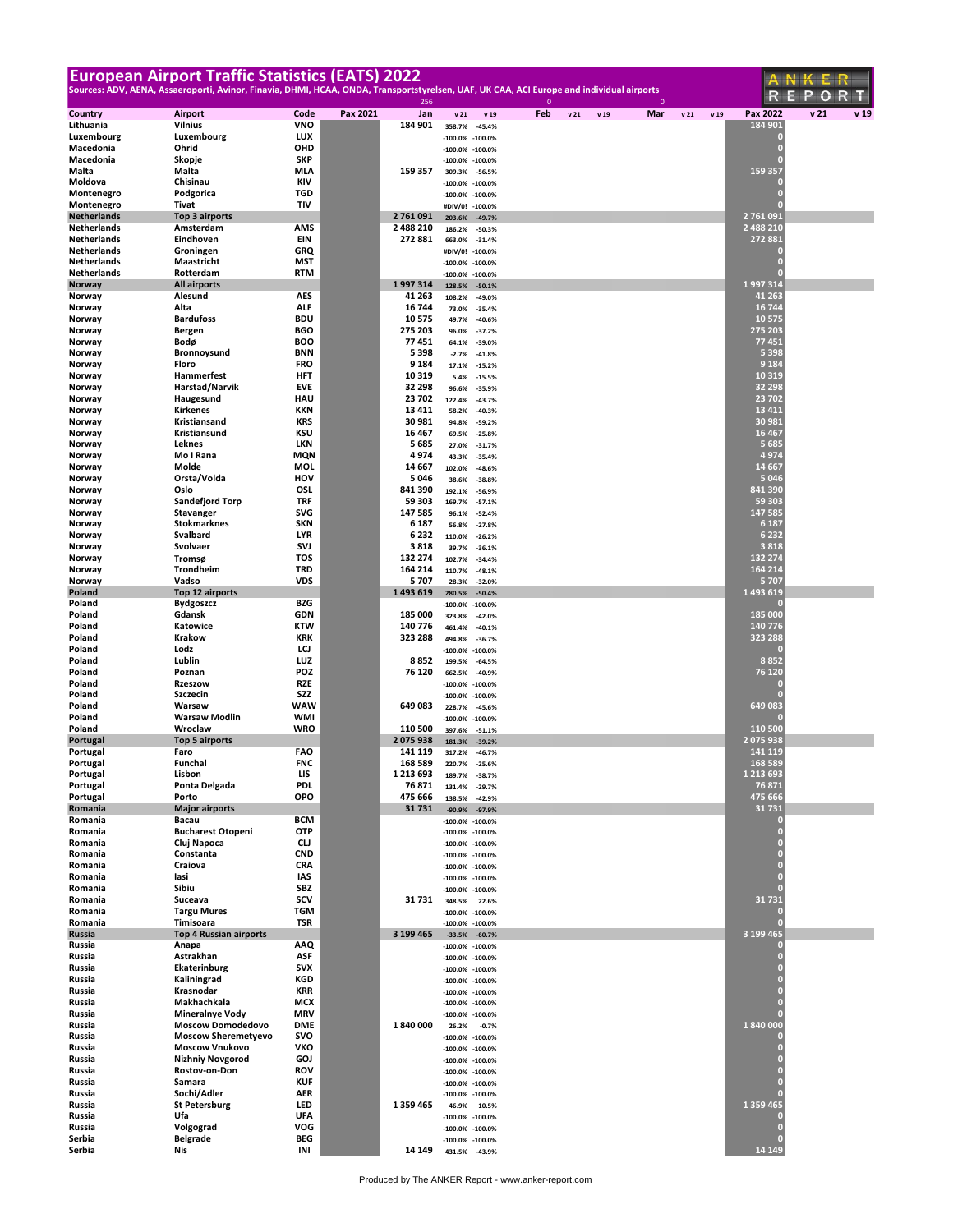| <b>European Airport Traffic Statistics (EATS) 2022</b>                                                                                   |                                          |                          |          |                    |                                            |                        |              |      |      |              |     |                                  | ANKER                   |
|------------------------------------------------------------------------------------------------------------------------------------------|------------------------------------------|--------------------------|----------|--------------------|--------------------------------------------|------------------------|--------------|------|------|--------------|-----|----------------------------------|-------------------------|
| Sources: ADV, AENA, Assaeroporti, Avinor, Finavia, DHMI, HCAA, ONDA, Transportstyrelsen, UAF, UK CAA, ACI Europe and individual airports |                                          |                          |          |                    |                                            |                        | $\mathbf{0}$ |      |      | $\mathbf{0}$ |     | R                                | R.<br>Р<br>н<br>О       |
| Country                                                                                                                                  | <b>Airport</b>                           | Code                     | Pax 2021 | 256<br>Jan         | v21                                        | v 19                   | Feb          | v 21 | v 19 | Mar          | v21 | Pax 2022<br>v 19                 | v <sub>21</sub><br>v 19 |
| Lithuania                                                                                                                                | <b>Vilnius</b>                           | <b>VNO</b>               |          | 184 901            | 358.7%                                     | $-45.4%$               |              |      |      |              |     | 184 901                          |                         |
| Luxembourg                                                                                                                               | Luxembourg                               | <b>LUX</b><br>OHD        |          |                    | $-100.0%$                                  | $-100.0%$              |              |      |      |              |     | 0<br>$\overline{0}$              |                         |
| Macedonia<br>Macedonia                                                                                                                   | Ohrid<br>Skopje                          | <b>SKP</b>               |          |                    | $-100.0%$<br>$-100.0\%$                    | $-100.0%$<br>$-100.0%$ |              |      |      |              |     | $\overline{0}$                   |                         |
| Malta                                                                                                                                    | Malta                                    | <b>MLA</b>               |          | 159 357            | 309.3%                                     | $-56.5%$               |              |      |      |              |     | 159 357                          |                         |
| Moldova                                                                                                                                  | Chisinau                                 | <b>KIV</b>               |          |                    | $-100.0\%$                                 | $-100.0%$              |              |      |      |              |     |                                  |                         |
| Montenegro<br>Montenegro                                                                                                                 | Podgorica<br>Tivat                       | TGD<br>TIV               |          |                    | -100.0% -100.0%<br>#DIV/0! -100.0%         |                        |              |      |      |              |     | $\overline{0}$<br>г              |                         |
| <b>Netherlands</b>                                                                                                                       | Top 3 airports                           |                          |          | 2 761 091          | 203.6%                                     | $-49.7%$               |              |      |      |              |     | 2 761 091                        |                         |
| Netherlands                                                                                                                              | Amsterdam                                | AMS                      |          | 2 488 210          | 186.2%                                     | $-50.3%$               |              |      |      |              |     | 2 488 210                        |                         |
| Netherlands                                                                                                                              | Eindhoven                                | EIN                      |          | 272 881            | 663.0%                                     | $-31.4%$               |              |      |      |              |     | 272 881                          |                         |
| <b>Netherlands</b><br>Netherlands                                                                                                        | Groningen<br>Maastricht                  | GRQ<br>MST               |          |                    | #DIV/0!<br>$-100.0\% -100.0\%$             | $-100.0%$              |              |      |      |              |     | U.<br>$\overline{0}$             |                         |
| Netherlands                                                                                                                              | Rotterdam                                | <b>RTM</b>               |          |                    | $-100.0\%$                                 | $-100.0%$              |              |      |      |              |     | $\overline{0}$                   |                         |
| Norway                                                                                                                                   | <b>All airports</b>                      |                          |          | 1997314            | 128.5%                                     | $-50.1%$               |              |      |      |              |     | 1997314                          |                         |
| Norway                                                                                                                                   | Alesund                                  | AES                      |          | 41 263             | 108.2%                                     | $-49.0%$               |              |      |      |              |     | 41 263                           |                         |
| Norway<br>Norway                                                                                                                         | Alta<br><b>Bardufoss</b>                 | ALF<br><b>BDU</b>        |          | 16 744<br>10575    | 73.0%<br>49.7%                             | $-35.4%$<br>$-40.6%$   |              |      |      |              |     | 16 744<br>10 575                 |                         |
| Norway                                                                                                                                   | <b>Bergen</b>                            | <b>BGO</b>               |          | 275 203            | 96.0%                                      | $-37.2%$               |              |      |      |              |     | 275 203                          |                         |
| Norway                                                                                                                                   | Bodø                                     | <b>BOO</b>               |          | 77451              | 64.1%                                      | $-39.0%$               |              |      |      |              |     | 77451                            |                         |
| Norway                                                                                                                                   | Bronnoysund<br>Floro                     | <b>BNN</b><br><b>FRO</b> |          | 5398<br>9 1 8 4    | $-2.7%$                                    | $-41.8%$               |              |      |      |              |     | 5 3 9 8<br>9 1 8 4               |                         |
| Norway<br>Norway                                                                                                                         | Hammerfest                               | <b>HFT</b>               |          | 10319              | 17.1%<br>5.4%                              | $-15.2%$<br>$-15.5%$   |              |      |      |              |     | 10 3 19                          |                         |
| Norway                                                                                                                                   | Harstad/Narvik                           | <b>EVE</b>               |          | 32 298             | 96.6%                                      | $-35.9%$               |              |      |      |              |     | 32 298                           |                         |
| Norway                                                                                                                                   | Haugesund                                | HAU                      |          | 23 702             | 122.4%                                     | $-43.7%$               |              |      |      |              |     | 23 702                           |                         |
| Norway                                                                                                                                   | Kirkenes                                 | <b>KKN</b><br>KRS        |          | 13 411             | 58.2%                                      | $-40.3%$               |              |      |      |              |     | 13 4 11<br>30 981                |                         |
| Norway<br>Norway                                                                                                                         | Kristiansand<br>Kristiansund             | KSU                      |          | 30 981<br>16467    | 94.8%<br>69.5%                             | $-59.2%$<br>$-25.8%$   |              |      |      |              |     | 16 4 67                          |                         |
| Norway                                                                                                                                   | Leknes                                   | LKN                      |          | 5685               | 27.0%                                      | $-31.7%$               |              |      |      |              |     | 5 6 8 5                          |                         |
| Norway                                                                                                                                   | Mo I Rana                                | <b>MQN</b>               |          | 4974               | 43.3%                                      | $-35.4%$               |              |      |      |              |     | 4974                             |                         |
| Norway                                                                                                                                   | Molde<br>Orsta/Volda                     | MOL<br>HOV               |          | 14 667<br>5046     | 102.0%                                     | $-48.6%$               |              |      |      |              |     | 14 6 67<br>5 0 4 6               |                         |
| Norway<br>Norway                                                                                                                         | Oslo                                     | OSL                      |          | 841 390            | 38.6%<br>192.1%                            | $-38.8%$<br>$-56.9%$   |              |      |      |              |     | 841 390                          |                         |
| Norway                                                                                                                                   | <b>Sandefjord Torp</b>                   | <b>TRF</b>               |          | 59 303             | 169.7%                                     | $-57.1%$               |              |      |      |              |     | 59 303                           |                         |
| Norway                                                                                                                                   | <b>Stavanger</b>                         | <b>SVG</b>               |          | 147 585            | 96.1%                                      | $-52.4%$               |              |      |      |              |     | 147 585                          |                         |
| Norway<br>Norway                                                                                                                         | <b>Stokmarknes</b><br>Svalbard           | <b>SKN</b><br><b>LYR</b> |          | 6 187<br>6232      | 56.8%                                      | $-27.8%$               |              |      |      |              |     | 6 1 8 7<br>6 2 3 2               |                         |
| Norway                                                                                                                                   | Svolvaer                                 | SVJ                      |          | 3818               | 110.0%<br>39.7%                            | $-26.2%$<br>$-36.1%$   |              |      |      |              |     | 3818                             |                         |
| Norway                                                                                                                                   | Tromsø                                   | TOS                      |          | 132 274            | 102.7%                                     | $-34.4%$               |              |      |      |              |     | 132 274                          |                         |
| Norway                                                                                                                                   | Trondheim                                | TRD                      |          | 164 214            | 110.7%                                     | $-48.1%$               |              |      |      |              |     | 164 214                          |                         |
| Norway<br>Poland                                                                                                                         | Vadso<br>Top 12 airports                 | <b>VDS</b>               |          | 5707<br>1493619    | 28.3%<br>280.5%                            | $-32.0%$<br>$-50.4%$   |              |      |      |              |     | 5 7 0 7<br>1 493 619             |                         |
| Poland                                                                                                                                   | <b>Bydgoszcz</b>                         | BZG                      |          |                    | $-100.0%$                                  | $-100.0%$              |              |      |      |              |     | ſ0                               |                         |
| Poland                                                                                                                                   | Gdansk                                   | <b>GDN</b>               |          | 185 000            | 323.8%                                     | $-42.0%$               |              |      |      |              |     | 185 000                          |                         |
| Poland                                                                                                                                   | Katowice                                 | <b>KTW</b>               |          | 140 776            | 461.4%                                     | $-40.1%$               |              |      |      |              |     | 140 776                          |                         |
| Poland<br>Poland                                                                                                                         | <b>Krakow</b><br>Lodz                    | <b>KRK</b><br>LCJ        |          | 323 288            | 494.8%<br>$-100.0%$                        | $-36.7%$<br>$-100.0%$  |              |      |      |              |     | 323 288                          |                         |
| Poland                                                                                                                                   | Lublin                                   | LUZ                      |          | 8852               | 199.5%                                     | $-64.5%$               |              |      |      |              |     | 8852                             |                         |
| Poland                                                                                                                                   | Poznan                                   | <b>POZ</b>               |          | 76 120             | 662.5%                                     | $-40.9%$               |              |      |      |              |     | 76 120                           |                         |
| Poland<br>Poland                                                                                                                         | <b>Rzeszow</b><br>Szczecin               | <b>RZE</b><br>SZZ        |          |                    | $-100.0\%$                                 | $-100.0%$              |              |      |      |              |     | 0                                |                         |
| Poland                                                                                                                                   | Warsaw                                   | <b>WAW</b>               |          | 649 083            | $-100.0\%$<br>228.7%                       | $-100.0%$<br>$-45.6%$  |              |      |      |              |     | 649 083                          |                         |
| Poland                                                                                                                                   | <b>Warsaw Modlin</b>                     | <b>WMI</b>               |          |                    | $-100.0\% -100.0\%$                        |                        |              |      |      |              |     |                                  |                         |
| Poland                                                                                                                                   | Wroclaw                                  | <b>WRO</b>               |          | 110 500            | 397.6%                                     | $-51.1%$               |              |      |      |              |     | 110 500                          |                         |
| Portugal<br>Portugal                                                                                                                     | <b>Top 5 airports</b><br>Faro            | <b>FAO</b>               |          | 2075938<br>141 119 | 181.3%<br>317.2%                           | $-39.2%$<br>$-46.7%$   |              |      |      |              |     | 2 075 938<br>141 119             |                         |
| Portugal                                                                                                                                 | Funchal                                  | <b>FNC</b>               |          | 168 589            | 220.7%                                     |                        |              |      |      |              |     | 168 589                          |                         |
| Portugal                                                                                                                                 | Lisbon                                   | LIS                      |          | 1 2 1 3 6 9 3      | 189.7%                                     | $-38.7%$               |              |      |      |              |     | 1 213 693                        |                         |
| Portugal                                                                                                                                 | Ponta Delgada                            | <b>PDL</b>               |          | 76 871             | 131.4%                                     | $-29.7%$               |              |      |      |              |     | 76 871<br>475 666                |                         |
| Portugal<br>Romania                                                                                                                      | Porto<br><b>Major airports</b>           | OPO                      |          | 475 666<br>31731   | 138.5%<br>$-90.9%$                         | $-42.9%$<br>$-97.9%$   |              |      |      |              |     | 31 7 31                          |                         |
| Romania                                                                                                                                  | Bacau                                    | <b>BCM</b>               |          |                    | $-100.0\%$                                 | $-100.0%$              |              |      |      |              |     | О                                |                         |
| Romania                                                                                                                                  | <b>Bucharest Otopeni</b>                 | <b>OTP</b>               |          |                    | $-100.0\% -100.0\%$                        |                        |              |      |      |              |     | $\overline{0}$                   |                         |
| Romania<br>Romania                                                                                                                       | Cluj Napoca<br>Constanta                 | CLJ<br><b>CND</b>        |          |                    | -100.0% -100.0%<br>-100.0% -100.0%         |                        |              |      |      |              |     | $\overline{0}$<br>$\overline{0}$ |                         |
| Romania                                                                                                                                  | Craiova                                  | <b>CRA</b>               |          |                    | -100.0% -100.0%                            |                        |              |      |      |              |     | $\overline{0}$                   |                         |
| Romania                                                                                                                                  | lasi                                     | IAS                      |          |                    | -100.0% -100.0%                            |                        |              |      |      |              |     | $\overline{0}$                   |                         |
| Romania<br>Romania                                                                                                                       | Sibiu                                    | SBZ<br>scv               |          | 31 731             | $-100.0\% -100.0\%$                        |                        |              |      |      |              |     | $\overline{0}$<br>31 7 31        |                         |
| Romania                                                                                                                                  | Suceava<br><b>Targu Mures</b>            | TGM                      |          |                    | 348.5%<br>$-100.0\% -100.0\%$              | 22.6%                  |              |      |      |              |     | 0                                |                         |
| Romania                                                                                                                                  | Timisoara                                | TSR                      |          |                    | $-100.0\% -100.0\%$                        |                        |              |      |      |              |     | $\overline{0}$                   |                         |
| Russia                                                                                                                                   | <b>Top 4 Russian airports</b>            |                          |          | 3 199 465          |                                            | $-33.5\% -60.7\%$      |              |      |      |              |     | 3 199 465                        |                         |
| Russia<br>Russia                                                                                                                         | Anapa<br>Astrakhan                       | AAQ<br>ASF               |          |                    | -100.0% -100.0%                            |                        |              |      |      |              |     | 0<br>$\overline{0}$              |                         |
| Russia                                                                                                                                   | Ekaterinburg                             | <b>SVX</b>               |          |                    | -100.0% -100.0%<br>$-100.0\% -100.0\%$     |                        |              |      |      |              |     | $\overline{0}$                   |                         |
| Russia                                                                                                                                   | Kaliningrad                              | KGD                      |          |                    | -100.0% -100.0%                            |                        |              |      |      |              |     | $\overline{0}$                   |                         |
| Russia                                                                                                                                   | Krasnodar                                | KRR                      |          |                    | $-100.0\% -100.0\%$                        |                        |              |      |      |              |     | $\overline{0}$<br>$\overline{0}$ |                         |
| Russia<br>Russia                                                                                                                         | Makhachkala<br><b>Mineralnye Vody</b>    | MCX<br><b>MRV</b>        |          |                    | $-100.0\% -100.0\%$<br>$-100.0\% -100.0\%$ |                        |              |      |      |              |     | $\overline{0}$                   |                         |
| Russia                                                                                                                                   | <b>Moscow Domodedovo</b>                 | <b>DME</b>               |          | 1840000            | 26.2%                                      | $-0.7%$                |              |      |      |              |     | 1 840 000                        |                         |
| Russia                                                                                                                                   | <b>Moscow Sheremetyevo</b>               | svo                      |          |                    | -100.0% -100.0%                            |                        |              |      |      |              |     | 0                                |                         |
| Russia                                                                                                                                   | <b>Moscow Vnukovo</b>                    | VKO<br><b>GOJ</b>        |          |                    | -100.0% -100.0%                            |                        |              |      |      |              |     | $\overline{0}$<br>$\overline{0}$ |                         |
| Russia<br>Russia                                                                                                                         | <b>Nizhniy Novgorod</b><br>Rostov-on-Don | <b>ROV</b>               |          |                    | -100.0% -100.0%<br>-100.0% -100.0%         |                        |              |      |      |              |     | $\overline{0}$                   |                         |
| Russia                                                                                                                                   | Samara                                   | <b>KUF</b>               |          |                    | $-100.0\% -100.0\%$                        |                        |              |      |      |              |     | $\overline{0}$                   |                         |
| Russia                                                                                                                                   | Sochi/Adler                              | <b>AER</b>               |          |                    | $-100.0\% -100.0\%$                        |                        |              |      |      |              |     | $\overline{0}$                   |                         |
| Russia<br>Russia                                                                                                                         | <b>St Petersburg</b><br>Ufa              | LED<br><b>UFA</b>        |          | 1 359 465          | 46.9%                                      | 10.5%                  |              |      |      |              |     | 1 359 465<br>0                   |                         |
| Russia                                                                                                                                   | Volgograd                                | VOG                      |          |                    | $-100.0\%$<br>$-100.0\%$                   | $-100.0%$<br>$-100.0%$ |              |      |      |              |     | $\overline{0}$                   |                         |
| Serbia                                                                                                                                   | <b>Belgrade</b>                          | BEG                      |          |                    | -100.0% -100.0%                            |                        |              |      |      |              |     |                                  |                         |
| Serbia                                                                                                                                   | Nis                                      | INI                      |          | 14 149             |                                            | 431.5% -43.9%          |              |      |      |              |     | 14 14 9                          |                         |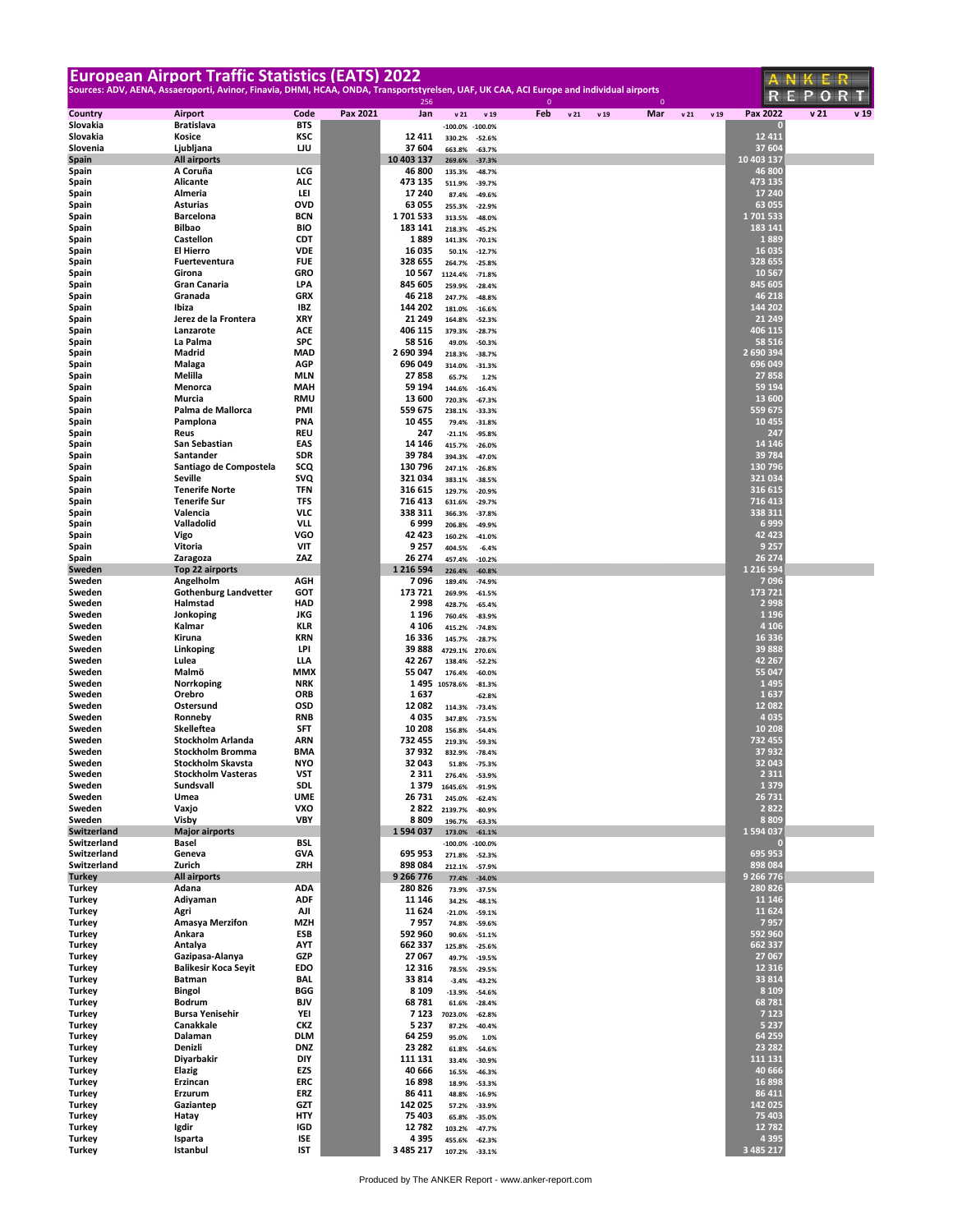|                            | <b>European Airport Traffic Statistics (EATS) 2022</b>                                                                                   |                          |          |                      |                   |                                 |              |                 |      |              |     |                      | ANKER                   |
|----------------------------|------------------------------------------------------------------------------------------------------------------------------------------|--------------------------|----------|----------------------|-------------------|---------------------------------|--------------|-----------------|------|--------------|-----|----------------------|-------------------------|
|                            | Sources: ADV, AENA, Assaeroporti, Avinor, Finavia, DHMI, HCAA, ONDA, Transportstyrelsen, UAF, UK CAA, ACI Europe and individual airports |                          |          | 256                  |                   |                                 | $\mathbf{0}$ |                 |      | $\mathbf{0}$ |     | К                    | R T<br>۳<br>О           |
| Country                    | Airport                                                                                                                                  | Code                     | Pax 2021 | Jan                  | v21               | v 19                            | Feb          | v <sub>21</sub> | v 19 | Mar          | v21 | Pax 2022<br>v 19     | v <sub>21</sub><br>v 19 |
| Slovakia<br>Slovakia       | <b>Bratislava</b><br>Kosice                                                                                                              | BTS<br>KSC               |          | 12411                | 330.2%            | $-100.0\% -100.0\%$<br>$-52.6%$ |              |                 |      |              |     | 12 4 11              |                         |
| Slovenia                   | Ljubljana                                                                                                                                | IJU                      |          | 37 604               | 663.8%            | $-63.7%$                        |              |                 |      |              |     | 37 604               |                         |
| <b>Spain</b>               | <b>All airports</b><br>A Coruña                                                                                                          | LCG                      |          | 10 403 137<br>46 800 | 269.6%            | $-37.3%$                        |              |                 |      |              |     | 10 403 137<br>46 800 |                         |
| Spain<br>Spain             | <b>Alicante</b>                                                                                                                          | ALC                      |          | 473 135              | 135.3%<br>511.9%  | $-48.7%$<br>$-39.7%$            |              |                 |      |              |     | 473 135              |                         |
| Spain                      | Almeria                                                                                                                                  | LEI                      |          | 17 240               | 87.4%             | $-49.6%$                        |              |                 |      |              |     | 17 240               |                         |
| Spain<br>Spain             | <b>Asturias</b><br><b>Barcelona</b>                                                                                                      | OVD<br><b>BCN</b>        |          | 63 055<br>1701533    | 255.3%<br>313.5%  | $-22.9%$<br>$-48.0%$            |              |                 |      |              |     | 63 055<br>1701533    |                         |
| Spain                      | <b>Bilbao</b>                                                                                                                            | BIO                      |          | 183 141              | 218.3%            | $-45.2%$                        |              |                 |      |              |     | 183 141              |                         |
| Spain                      | Castellon                                                                                                                                | <b>CDT</b>               |          | 1889                 | 141.3%            | $-70.1%$                        |              |                 |      |              |     | 1889                 |                         |
| Spain<br>Spain             | El Hierro<br>Fuerteventura                                                                                                               | <b>VDE</b><br><b>FUE</b> |          | 16 035<br>328 655    | 50.1%<br>264.7%   | $-12.7%$<br>$-25.8%$            |              |                 |      |              |     | 16 035<br>328 655    |                         |
| Spain                      | Girona                                                                                                                                   | GRO                      |          | 10567                | 1124.4%           | $-71.8%$                        |              |                 |      |              |     | 10 5 67              |                         |
| Spain                      | <b>Gran Canaria</b>                                                                                                                      | LPA                      |          | 845 605              | 259.9%            | $-28.4%$                        |              |                 |      |              |     | 845 605              |                         |
| Spain<br>Spain             | Granada<br>Ibiza                                                                                                                         | <b>GRX</b><br>IBZ        |          | 46 218<br>144 202    | 247.7%<br>181.0%  | $-48.8%$<br>$-16.6%$            |              |                 |      |              |     | 46 218<br>144 202    |                         |
| Spain                      | Jerez de la Frontera                                                                                                                     | XRY                      |          | 21 249               | 164.8%            | $-52.3%$                        |              |                 |      |              |     | 21 24 9              |                         |
| Spain                      | Lanzarote<br>La Palma                                                                                                                    | ACE<br><b>SPC</b>        |          | 406 115<br>58 516    | 379.3%            | $-28.7%$                        |              |                 |      |              |     | 406 115<br>58 516    |                         |
| Spain<br>Spain             | Madrid                                                                                                                                   | <b>MAD</b>               |          | 2 690 394            | 49.0%<br>218.3%   | $-50.3%$<br>$-38.7%$            |              |                 |      |              |     | 2 690 394            |                         |
| Spain                      | Malaga                                                                                                                                   | AGP                      |          | 696 049              | 314.0%            | $-31.3%$                        |              |                 |      |              |     | 696 049              |                         |
| Spain<br>Spain             | Melilla<br>Menorca                                                                                                                       | MLN<br>MAH               |          | 27858<br>59 194      | 65.7%             | 1.2%                            |              |                 |      |              |     | 27858<br>59 194      |                         |
| Spain                      | Murcia                                                                                                                                   | RMU                      |          | 13 600               | 144.6%<br>720.3%  | $-16.4%$<br>$-67.3%$            |              |                 |      |              |     | 13 600               |                         |
| Spain                      | Palma de Mallorca                                                                                                                        | PMI                      |          | 559 675              | 238.1%            | $-33.3%$                        |              |                 |      |              |     | 559 675              |                         |
| Spain<br>Spain             | Pamplona<br>Reus                                                                                                                         | PNA<br>REU               |          | 10455<br>247         | 79.4%<br>$-21.1%$ | $-31.8%$<br>$-95.8%$            |              |                 |      |              |     | 10 455<br>247        |                         |
| Spain                      | San Sebastian                                                                                                                            | EAS                      |          | 14 14 6              | 415.7%            | $-26.0%$                        |              |                 |      |              |     | 14 14 6              |                         |
| Spain                      | Santander                                                                                                                                | SDR                      |          | 39784                | 394.3%            | $-47.0%$                        |              |                 |      |              |     | 39 784               |                         |
| Spain<br>Spain             | Santiago de Compostela<br>Seville                                                                                                        | scq<br>svQ               |          | 130 796<br>321 034   | 247.1%<br>383.1%  | $-26.8%$<br>$-38.5%$            |              |                 |      |              |     | 130 796<br>321 034   |                         |
| Spain                      | <b>Tenerife Norte</b>                                                                                                                    | <b>TFN</b>               |          | 316 615              | 129.7%            | $-20.9%$                        |              |                 |      |              |     | 316 615              |                         |
| Spain                      | <b>Tenerife Sur</b>                                                                                                                      | TFS                      |          | 716 413              | 631.6%            | $-29.7%$                        |              |                 |      |              |     | 716 413              |                         |
| Spain<br>Spain             | Valencia<br>Valladolid                                                                                                                   | <b>VLC</b><br><b>VLL</b> |          | 338 311<br>6999      | 366.3%<br>206.8%  | $-37.8%$<br>$-49.9%$            |              |                 |      |              |     | 338 311<br>6 9 9 9   |                         |
| Spain                      | Vigo                                                                                                                                     | VGO                      |          | 42 423               | 160.2%            | $-41.0%$                        |              |                 |      |              |     | 42 4 23              |                         |
| Spain<br>Spain             | Vitoria<br>Zaragoza                                                                                                                      | VIT<br>ZAZ               |          | 9 2 5 7<br>26 274    | 404.5%            | $-6.4%$                         |              |                 |      |              |     | 9 2 5 7<br>26 274    |                         |
| Sweden                     | Top 22 airports                                                                                                                          |                          |          | 1 2 1 6 5 9 4        | 457.4%<br>226.4%  | $-10.2%$<br>$-60.8%$            |              |                 |      |              |     | 1 216 594            |                         |
| Sweden                     | Angelholm                                                                                                                                | AGH                      |          | 7096                 | 189.4%            | $-74.9%$                        |              |                 |      |              |     | 7096                 |                         |
| Sweden<br>Sweden           | <b>Gothenburg Landvetter</b><br>Halmstad                                                                                                 | GOT<br>HAD               |          | 173 721<br>2998      | 269.9%<br>428.7%  | $-61.5%$<br>$-65.4%$            |              |                 |      |              |     | 173 721<br>2 9 9 8   |                         |
| Sweden                     | Jonkoping                                                                                                                                | <b>JKG</b>               |          | 1 1 9 6              | 760.4%            | $-83.9%$                        |              |                 |      |              |     | 1 1 9 6              |                         |
| Sweden                     | Kalmar                                                                                                                                   | KLR                      |          | 4 1 0 6              | 415.2%            | $-74.8%$                        |              |                 |      |              |     | 4 1 0 6              |                         |
| Sweden<br>Sweden           | Kiruna<br>Linkoping                                                                                                                      | <b>KRN</b><br>LPI        |          | 16 336<br>39888      | 145.7%<br>4729.1% | $-28.7%$<br>270.6%              |              |                 |      |              |     | 16 336<br>39 888     |                         |
| Sweden                     | Lulea                                                                                                                                    | LLA                      |          | 42 267               | 138.4%            | $-52.2%$                        |              |                 |      |              |     | 42 267               |                         |
| Sweden<br>Sweden           | Malmö<br>Norrkoping                                                                                                                      | MMX<br><b>NRK</b>        |          | 55 047<br>1 4 9 5    | 176.4%            | $-60.0%$                        |              |                 |      |              |     | 55 047<br>1495       |                         |
| Sweden                     | Orebro                                                                                                                                   | ORB                      |          | 1637                 | 10578.6%          | $-81.3%$<br>$-62.8%$            |              |                 |      |              |     | 1637                 |                         |
| Sweden                     | Ostersund                                                                                                                                | OSD                      |          | 12 082               | 114.3%            | $-73.4%$                        |              |                 |      |              |     | 12 082               |                         |
| Sweden<br>Sweden           | Ronneby<br>Skelleftea                                                                                                                    | <b>RNB</b><br>SFT        |          | 4035<br>10 208       | 347.8%<br>156.8%  | $-73.5%$<br>$-54.4%$            |              |                 |      |              |     | 4 0 3 5<br>10 208    |                         |
| Sweden                     | Stockholm Arlanda                                                                                                                        | ARN                      |          | 732 455              | 219.3%            | $-59.3%$                        |              |                 |      |              |     | 732 455              |                         |
| Sweden<br>Sweden           | Stockholm Bromma<br><b>Stockholm Skaysta</b>                                                                                             | BMA<br>NYO               |          | 37 932<br>32 043     | 832.9%            | $-78.4%$                        |              |                 |      |              |     | 37 932<br>32 043     |                         |
| Sweden                     | <b>Stockholm Vasteras</b>                                                                                                                | VST                      |          | 2 3 1 1              | 51.8%<br>276.4%   | -75.3%<br>$-53.9%$              |              |                 |      |              |     | 2 3 1 1              |                         |
| Sweden                     | Sundsvall                                                                                                                                | SDL                      |          | 1379                 | 1645.6%           | $-91.9%$                        |              |                 |      |              |     | 1 3 7 9              |                         |
| Sweden<br>Sweden           | Umea<br>Vaxjo                                                                                                                            | UME<br>VXO               |          | 26 731<br>2 8 2 2    | 245.0%<br>2139.7% | $-62.4%$                        |              |                 |      |              |     | 26 731<br>2822       |                         |
| Sweden                     | Visby                                                                                                                                    | VBY                      |          | 8809                 | 196.7%            | $-80.9%$<br>$-63.3%$            |              |                 |      |              |     | 8 8 0 9              |                         |
| Switzerland                | <b>Major airports</b>                                                                                                                    |                          |          | 1594037              | 173.0%            | $-61.1%$                        |              |                 |      |              |     | 1 594 037            |                         |
| Switzerland<br>Switzerland | Basel<br>Geneva                                                                                                                          | <b>BSL</b><br>GVA        |          | 695 953              | 271.8%            | $-100.0\% -100.0\%$<br>$-52.3%$ |              |                 |      |              |     | о<br>695 953         |                         |
| Switzerland                | Zurich                                                                                                                                   | ZRH                      |          | 898 084              | 212.1%            | $-57.9%$                        |              |                 |      |              |     | 898 084              |                         |
| <b>Turkey</b><br>Turkey    | <b>All airports</b><br>Adana                                                                                                             | ADA                      |          | 9 266 776<br>280 826 | 77.4%             | $-34.0%$                        |              |                 |      |              |     | 9 266 776<br>280 826 |                         |
| Turkey                     | Adiyaman                                                                                                                                 | <b>ADF</b>               |          | 11 146               | 73.9%<br>34.2%    | $-37.5%$<br>$-48.1%$            |              |                 |      |              |     | 11 146               |                         |
| Turkey                     | Agri                                                                                                                                     | AJI                      |          | 11 6 24              | $-21.0%$          | $-59.1%$                        |              |                 |      |              |     | 11 6 24              |                         |
| Turkey<br><b>Turkey</b>    | <b>Amasya Merzifon</b><br>Ankara                                                                                                         | MZH<br>ESB               |          | 7957<br>592 960      | 74.8%<br>90.6%    | $-59.6%$<br>$-51.1%$            |              |                 |      |              |     | 7957<br>592 960      |                         |
| Turkey                     | Antalya                                                                                                                                  | AYT                      |          | 662 337              | 125.8%            | $-25.6%$                        |              |                 |      |              |     | 662 337              |                         |
| <b>Turkey</b>              | Gazipasa-Alanya                                                                                                                          | GZP                      |          | 27 067               | 49.7%             | $-19.5%$                        |              |                 |      |              |     | 27 067               |                         |
| Turkey<br>Turkey           | <b>Balikesir Koca Seyit</b><br>Batman                                                                                                    | EDO<br>BAL               |          | 12 3 16<br>33 814    | 78.5%<br>$-3.4%$  | $-29.5%$<br>$-43.2%$            |              |                 |      |              |     | 12 3 16<br>33 814    |                         |
| Turkey                     | <b>Bingol</b>                                                                                                                            | BGG                      |          | 8 1 0 9              | $-13.9%$          | $-54.6%$                        |              |                 |      |              |     | 8 1 0 9              |                         |
| Turkey                     | <b>Bodrum</b><br><b>Bursa Yenisehir</b>                                                                                                  | BJV<br>YEI               |          | 68781<br>7 1 2 3     | 61.6%             | $-28.4%$                        |              |                 |      |              |     | 68781<br>7 1 2 3     |                         |
| Turkey<br><b>Turkey</b>    | Canakkale                                                                                                                                | CKZ                      |          | 5 2 3 7              | 7023.0%<br>87.2%  | $-62.8%$<br>$-40.4%$            |              |                 |      |              |     | 5 2 3 7              |                         |
| Turkey                     | Dalaman                                                                                                                                  | DLM                      |          | 64 259               | 95.0%             | 1.0%                            |              |                 |      |              |     | 64 259               |                         |
| Turkey<br>Turkey           | Denizli<br>Diyarbakir                                                                                                                    | <b>DNZ</b><br>DIY        |          | 23 282<br>111 131    | 61.8%<br>33.4%    | $-54.6%$<br>$-30.9%$            |              |                 |      |              |     | 23 28 2<br>111 131   |                         |
| Turkey                     | Elazig                                                                                                                                   | <b>EZS</b>               |          | 40 666               | 16.5%             | $-46.3%$                        |              |                 |      |              |     | 40 666               |                         |
| Turkey                     | Erzincan                                                                                                                                 | ERC                      |          | 16898                | 18.9%             | $-53.3%$                        |              |                 |      |              |     | 16 898               |                         |
| Turkey<br>Turkey           | Erzurum<br>Gaziantep                                                                                                                     | ERZ<br>GZT               |          | 86 411<br>142 025    | 48.8%<br>57.2%    | $-16.9%$<br>$-33.9%$            |              |                 |      |              |     | 86 411<br>142 025    |                         |
| <b>Turkey</b>              | Hatay                                                                                                                                    | HTY                      |          | 75 403               | 65.8%             | $-35.0%$                        |              |                 |      |              |     | 75 403               |                         |
| Turkey<br>Turkey           | Igdir<br>Isparta                                                                                                                         | IGD<br>ISE               |          | 12782<br>4395        | 103.2%<br>455.6%  | $-47.7%$<br>$-62.3%$            |              |                 |      |              |     | 12 7 82<br>4 3 9 5   |                         |
| <b>Turkey</b>              | Istanbul                                                                                                                                 | IST                      |          | 3 485 217            |                   | 107.2% -33.1%                   |              |                 |      |              |     | 3 485 217            |                         |